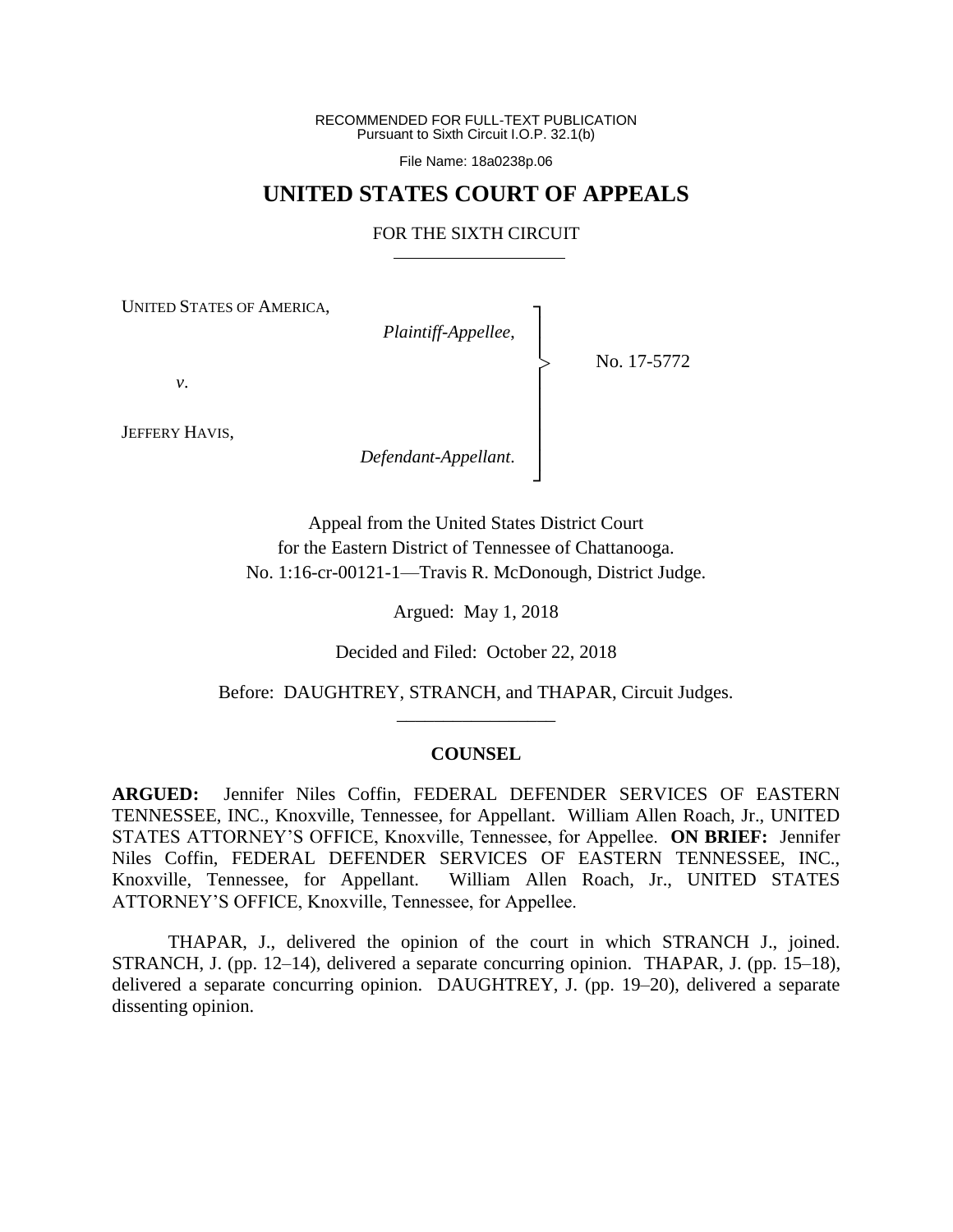RECOMMENDED FOR FULL-TEXT PUBLICATION Pursuant to Sixth Circuit I.O.P. 32.1(b)

File Name: 18a0238p.06

### **UNITED STATES COURT OF APPEALS**

#### FOR THE SIXTH CIRCUIT

┐

│ │ │ │ │ │ ┘

|<br>|<br>|

UNITED STATES OF AMERICA,

*Plaintiff-Appellee*, │

No. 17-5772

*v*.

JEFFERY HAVIS,

*Defendant-Appellant*.

Appeal from the United States District Court for the Eastern District of Tennessee of Chattanooga. No. 1:16-cr-00121-1—Travis R. McDonough, District Judge.

Argued: May 1, 2018

Decided and Filed: October 22, 2018

Before: DAUGHTREY, STRANCH, and THAPAR, Circuit Judges. \_\_\_\_\_\_\_\_\_\_\_\_\_\_\_\_\_

#### **COUNSEL**

**ARGUED:** Jennifer Niles Coffin, FEDERAL DEFENDER SERVICES OF EASTERN TENNESSEE, INC., Knoxville, Tennessee, for Appellant. William Allen Roach, Jr., UNITED STATES ATTORNEY'S OFFICE, Knoxville, Tennessee, for Appellee. **ON BRIEF:** Jennifer Niles Coffin, FEDERAL DEFENDER SERVICES OF EASTERN TENNESSEE, INC., Knoxville, Tennessee, for Appellant. William Allen Roach, Jr., UNITED STATES ATTORNEY'S OFFICE, Knoxville, Tennessee, for Appellee.

THAPAR, J., delivered the opinion of the court in which STRANCH J., joined. STRANCH, J. (pp. 12–14), delivered a separate concurring opinion. THAPAR, J. (pp. 15–18), delivered a separate concurring opinion. DAUGHTREY, J. (pp. 19–20), delivered a separate dissenting opinion.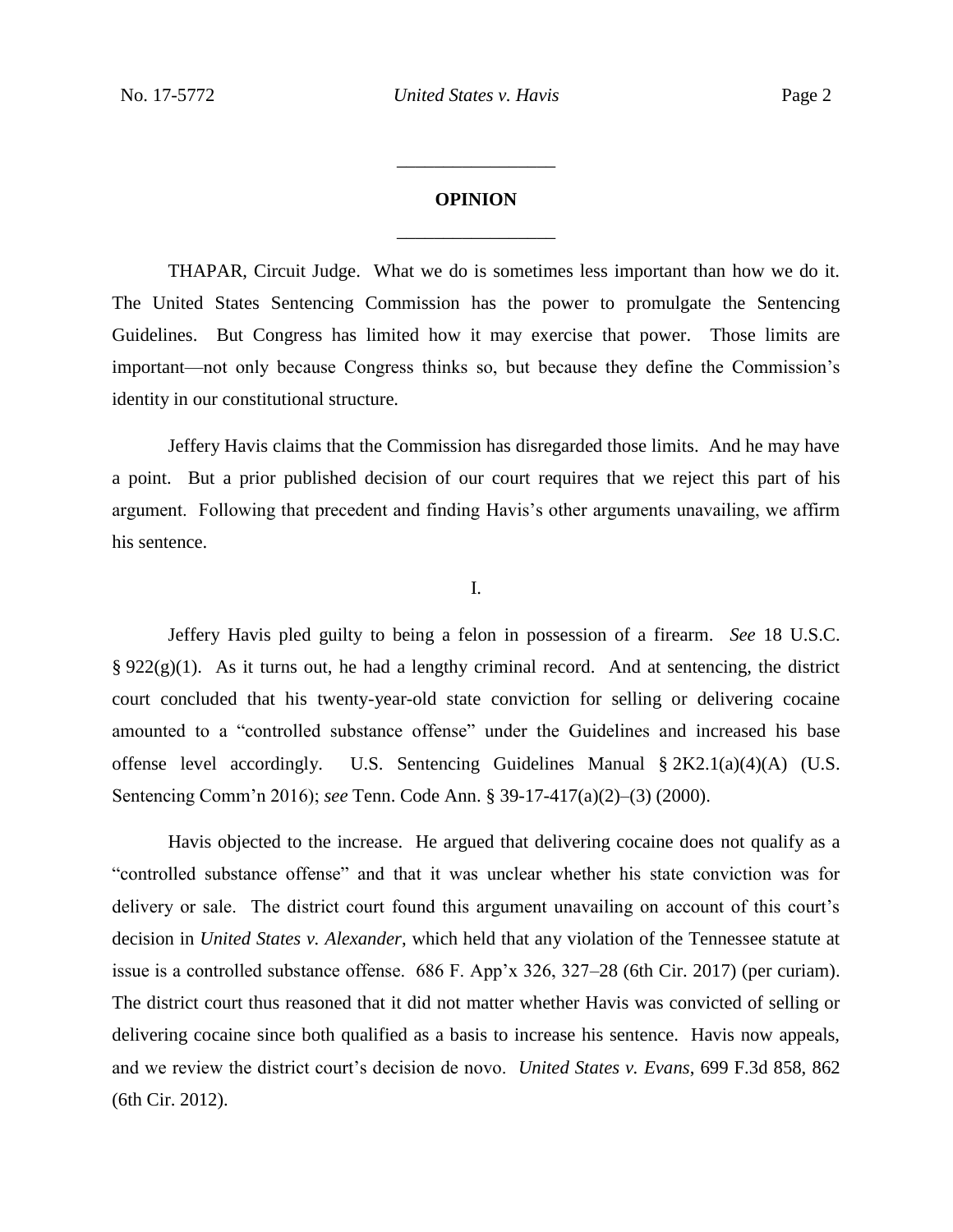# **OPINION** \_\_\_\_\_\_\_\_\_\_\_\_\_\_\_\_\_

\_\_\_\_\_\_\_\_\_\_\_\_\_\_\_\_\_

THAPAR, Circuit Judge. What we do is sometimes less important than how we do it. The United States Sentencing Commission has the power to promulgate the Sentencing Guidelines. But Congress has limited how it may exercise that power. Those limits are important—not only because Congress thinks so, but because they define the Commission's identity in our constitutional structure.

Jeffery Havis claims that the Commission has disregarded those limits. And he may have a point. But a prior published decision of our court requires that we reject this part of his argument. Following that precedent and finding Havis's other arguments unavailing, we affirm his sentence.

I.

Jeffery Havis pled guilty to being a felon in possession of a firearm. *See* 18 U.S.C.  $§ 922(g)(1)$ . As it turns out, he had a lengthy criminal record. And at sentencing, the district court concluded that his twenty-year-old state conviction for selling or delivering cocaine amounted to a "controlled substance offense" under the Guidelines and increased his base offense level accordingly. U.S. Sentencing Guidelines Manual § 2K2.1(a)(4)(A) (U.S. Sentencing Comm'n 2016); *see* Tenn. Code Ann. § 39-17-417(a)(2)–(3) (2000).

Havis objected to the increase. He argued that delivering cocaine does not qualify as a "controlled substance offense" and that it was unclear whether his state conviction was for delivery or sale. The district court found this argument unavailing on account of this court's decision in *United States v. Alexander*, which held that any violation of the Tennessee statute at issue is a controlled substance offense. 686 F. App'x 326, 327–28 (6th Cir. 2017) (per curiam). The district court thus reasoned that it did not matter whether Havis was convicted of selling or delivering cocaine since both qualified as a basis to increase his sentence. Havis now appeals, and we review the district court's decision de novo. *United States v. Evans*, 699 F.3d 858, 862 (6th Cir. 2012).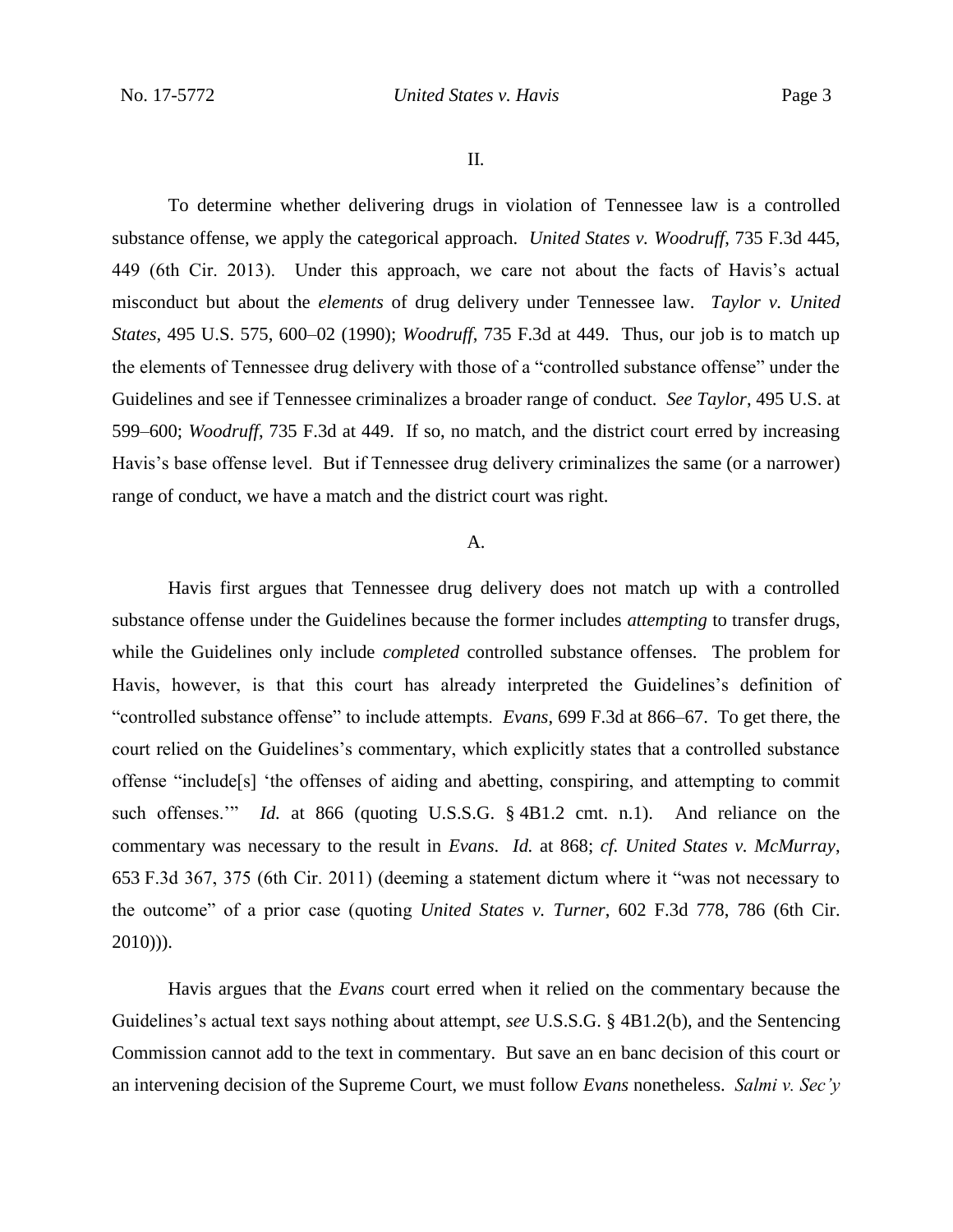II.

To determine whether delivering drugs in violation of Tennessee law is a controlled substance offense, we apply the categorical approach. *United States v. Woodruff*, 735 F.3d 445, 449 (6th Cir. 2013). Under this approach, we care not about the facts of Havis's actual misconduct but about the *elements* of drug delivery under Tennessee law. *Taylor v. United States*, 495 U.S. 575, 600–02 (1990); *Woodruff*, 735 F.3d at 449. Thus, our job is to match up the elements of Tennessee drug delivery with those of a "controlled substance offense" under the Guidelines and see if Tennessee criminalizes a broader range of conduct. *See Taylor*, 495 U.S. at 599–600; *Woodruff*, 735 F.3d at 449. If so, no match, and the district court erred by increasing Havis's base offense level. But if Tennessee drug delivery criminalizes the same (or a narrower) range of conduct, we have a match and the district court was right.

#### A.

Havis first argues that Tennessee drug delivery does not match up with a controlled substance offense under the Guidelines because the former includes *attempting* to transfer drugs, while the Guidelines only include *completed* controlled substance offenses. The problem for Havis, however, is that this court has already interpreted the Guidelines's definition of "controlled substance offense" to include attempts. *Evans*, 699 F.3d at 866–67. To get there, the court relied on the Guidelines's commentary, which explicitly states that a controlled substance offense "include[s] 'the offenses of aiding and abetting, conspiring, and attempting to commit such offenses.'" *Id.* at 866 (quoting U.S.S.G. § 4B1.2 cmt. n.1). And reliance on the commentary was necessary to the result in *Evans*. *Id.* at 868; *cf. United States v. McMurray*, 653 F.3d 367, 375 (6th Cir. 2011) (deeming a statement dictum where it "was not necessary to the outcome" of a prior case (quoting *United States v. Turner*, 602 F.3d 778, 786 (6th Cir.  $2010)$ )).

Havis argues that the *Evans* court erred when it relied on the commentary because the Guidelines's actual text says nothing about attempt, *see* U.S.S.G. § 4B1.2(b), and the Sentencing Commission cannot add to the text in commentary. But save an en banc decision of this court or an intervening decision of the Supreme Court, we must follow *Evans* nonetheless. *Salmi v. Sec'y*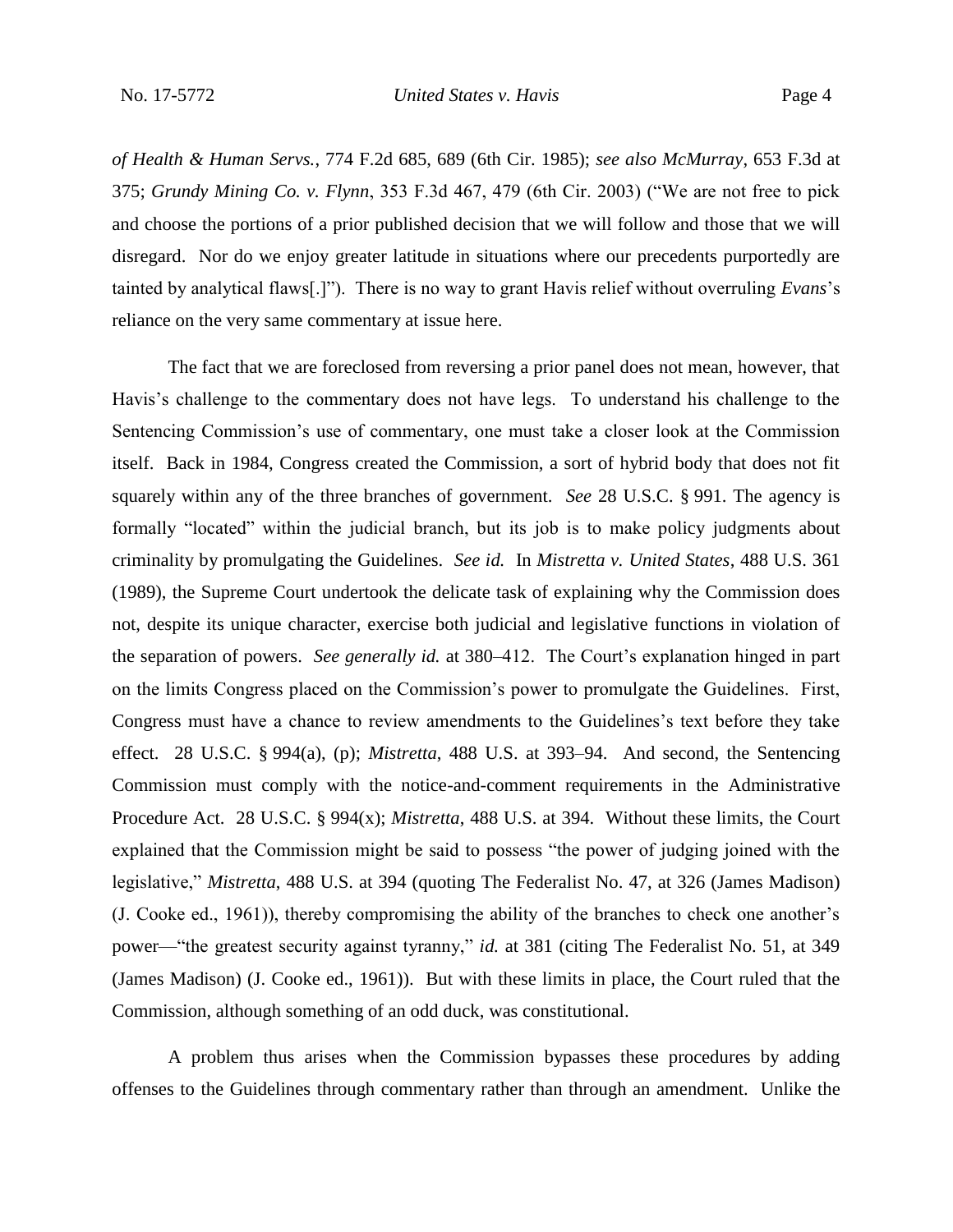*of Health & Human Servs.*, 774 F.2d 685, 689 (6th Cir. 1985); *see also McMurray*, 653 F.3d at 375; *Grundy Mining Co. v. Flynn*, 353 F.3d 467, 479 (6th Cir. 2003) ("We are not free to pick and choose the portions of a prior published decision that we will follow and those that we will disregard. Nor do we enjoy greater latitude in situations where our precedents purportedly are tainted by analytical flaws[.]"). There is no way to grant Havis relief without overruling *Evans*'s reliance on the very same commentary at issue here.

The fact that we are foreclosed from reversing a prior panel does not mean, however, that Havis's challenge to the commentary does not have legs. To understand his challenge to the Sentencing Commission's use of commentary, one must take a closer look at the Commission itself. Back in 1984, Congress created the Commission, a sort of hybrid body that does not fit squarely within any of the three branches of government. *See* 28 U.S.C. § 991. The agency is formally "located" within the judicial branch, but its job is to make policy judgments about criminality by promulgating the Guidelines. *See id.* In *Mistretta v. United States*, 488 U.S. 361 (1989), the Supreme Court undertook the delicate task of explaining why the Commission does not, despite its unique character, exercise both judicial and legislative functions in violation of the separation of powers. *See generally id.* at 380–412. The Court's explanation hinged in part on the limits Congress placed on the Commission's power to promulgate the Guidelines. First, Congress must have a chance to review amendments to the Guidelines's text before they take effect. 28 U.S.C. § 994(a), (p); *Mistretta*, 488 U.S. at 393–94. And second, the Sentencing Commission must comply with the notice-and-comment requirements in the Administrative Procedure Act. 28 U.S.C. § 994(x); *Mistretta*, 488 U.S. at 394. Without these limits, the Court explained that the Commission might be said to possess "the power of judging joined with the legislative," *Mistretta*, 488 U.S. at 394 (quoting The Federalist No. 47, at 326 (James Madison) (J. Cooke ed., 1961)), thereby compromising the ability of the branches to check one another's power—"the greatest security against tyranny," *id.* at 381 (citing The Federalist No. 51, at 349 (James Madison) (J. Cooke ed., 1961)). But with these limits in place, the Court ruled that the Commission, although something of an odd duck, was constitutional.

A problem thus arises when the Commission bypasses these procedures by adding offenses to the Guidelines through commentary rather than through an amendment. Unlike the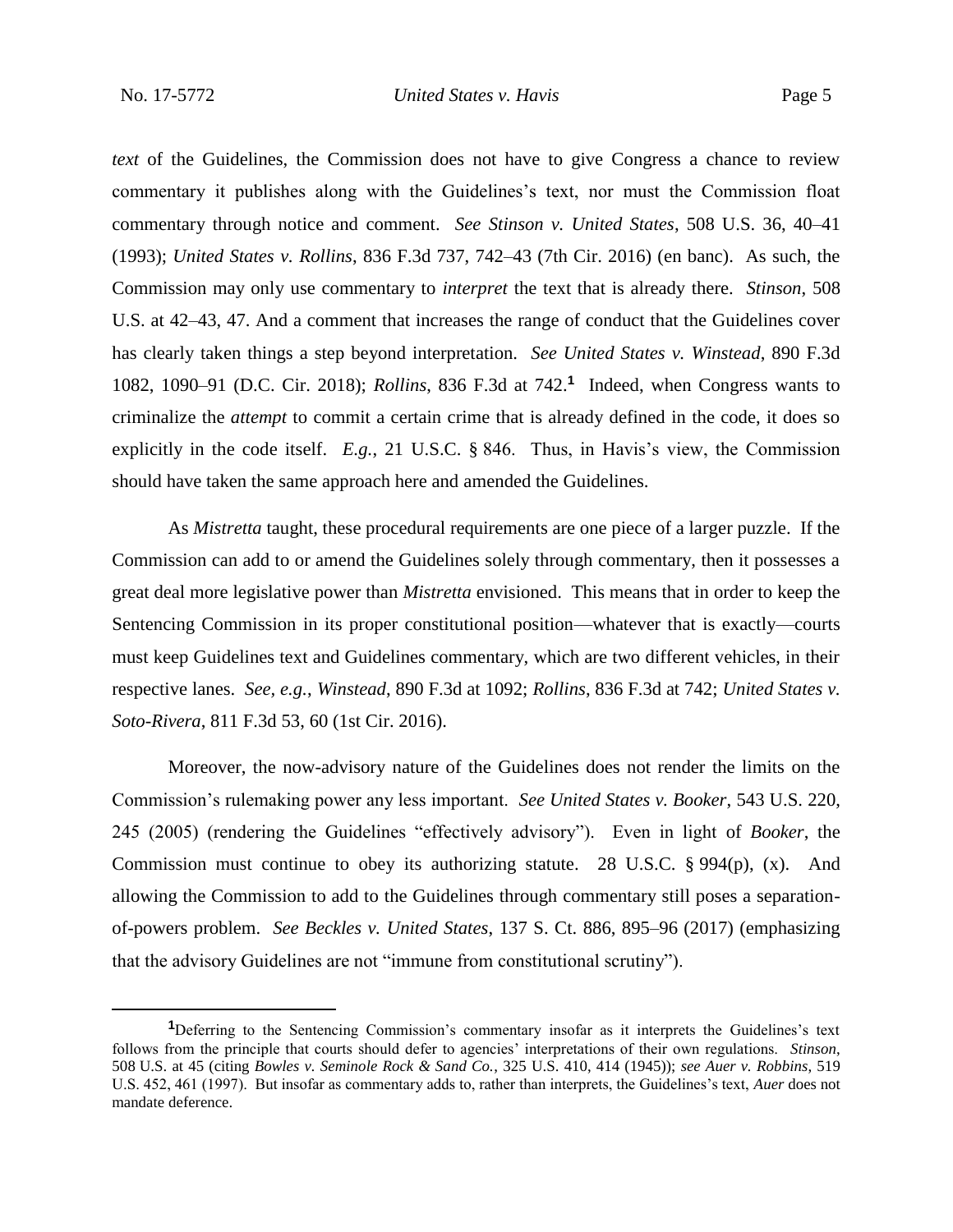*text* of the Guidelines, the Commission does not have to give Congress a chance to review commentary it publishes along with the Guidelines's text, nor must the Commission float commentary through notice and comment. *See Stinson v. United States*, 508 U.S. 36, 40–41 (1993); *United States v. Rollins*, 836 F.3d 737, 742–43 (7th Cir. 2016) (en banc). As such, the Commission may only use commentary to *interpret* the text that is already there. *Stinson*, 508 U.S. at 42–43, 47. And a comment that increases the range of conduct that the Guidelines cover has clearly taken things a step beyond interpretation. *See United States v. Winstead*, 890 F.3d 1082, 1090–91 (D.C. Cir. 2018); *Rollins*, 836 F.3d at 742.**<sup>1</sup>** Indeed, when Congress wants to criminalize the *attempt* to commit a certain crime that is already defined in the code, it does so explicitly in the code itself. *E.g.*, 21 U.S.C. § 846. Thus, in Havis's view, the Commission should have taken the same approach here and amended the Guidelines.

As *Mistretta* taught, these procedural requirements are one piece of a larger puzzle. If the Commission can add to or amend the Guidelines solely through commentary, then it possesses a great deal more legislative power than *Mistretta* envisioned. This means that in order to keep the Sentencing Commission in its proper constitutional position—whatever that is exactly—courts must keep Guidelines text and Guidelines commentary, which are two different vehicles, in their respective lanes. *See, e.g.*, *Winstead*, 890 F.3d at 1092; *Rollins*, 836 F.3d at 742; *United States v. Soto-Rivera*, 811 F.3d 53, 60 (1st Cir. 2016).

Moreover, the now-advisory nature of the Guidelines does not render the limits on the Commission's rulemaking power any less important. *See United States v. Booker*, 543 U.S. 220, 245 (2005) (rendering the Guidelines "effectively advisory"). Even in light of *Booker*, the Commission must continue to obey its authorizing statute. 28 U.S.C. § 994(p), (x). And allowing the Commission to add to the Guidelines through commentary still poses a separationof-powers problem. *See Beckles v. United States*, 137 S. Ct. 886, 895–96 (2017) (emphasizing that the advisory Guidelines are not "immune from constitutional scrutiny").

**<sup>1</sup>**Deferring to the Sentencing Commission's commentary insofar as it interprets the Guidelines's text follows from the principle that courts should defer to agencies' interpretations of their own regulations. *Stinson*, 508 U.S. at 45 (citing *Bowles v. Seminole Rock & Sand Co.*, 325 U.S. 410, 414 (1945)); *see Auer v. Robbins*, 519 U.S. 452, 461 (1997). But insofar as commentary adds to, rather than interprets, the Guidelines's text, *Auer* does not mandate deference.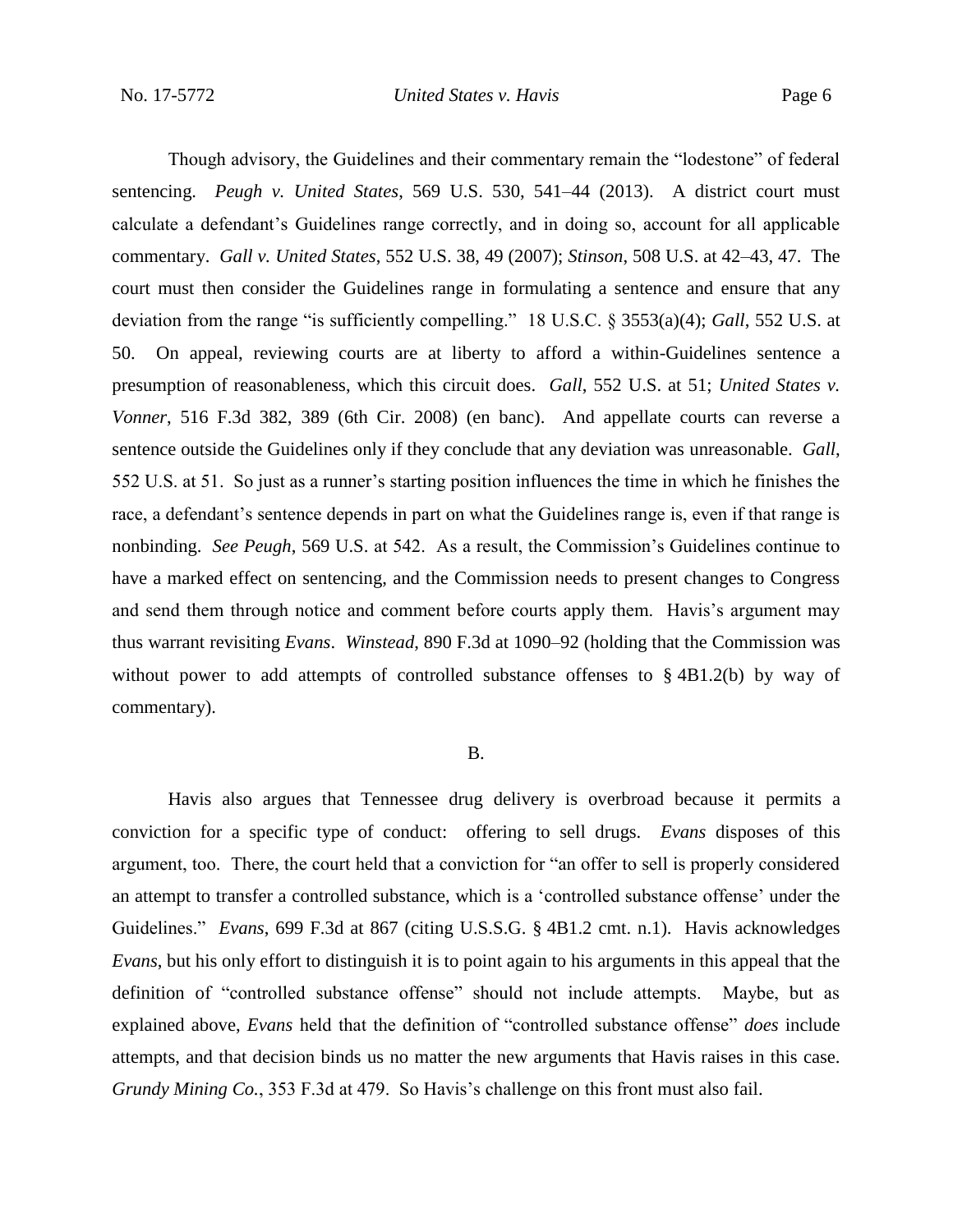Though advisory, the Guidelines and their commentary remain the "lodestone" of federal sentencing. *Peugh v. United States*, 569 U.S. 530, 541–44 (2013). A district court must calculate a defendant's Guidelines range correctly, and in doing so, account for all applicable commentary. *Gall v. United States*, 552 U.S. 38, 49 (2007); *Stinson*, 508 U.S. at 42–43, 47. The court must then consider the Guidelines range in formulating a sentence and ensure that any deviation from the range "is sufficiently compelling." 18 U.S.C. § 3553(a)(4); *Gall*, 552 U.S. at 50. On appeal, reviewing courts are at liberty to afford a within-Guidelines sentence a presumption of reasonableness, which this circuit does. *Gall*, 552 U.S. at 51; *United States v. Vonner*, 516 F.3d 382, 389 (6th Cir. 2008) (en banc). And appellate courts can reverse a sentence outside the Guidelines only if they conclude that any deviation was unreasonable. *Gall*, 552 U.S. at 51. So just as a runner's starting position influences the time in which he finishes the race, a defendant's sentence depends in part on what the Guidelines range is, even if that range is nonbinding. *See Peugh*, 569 U.S. at 542. As a result, the Commission's Guidelines continue to have a marked effect on sentencing, and the Commission needs to present changes to Congress and send them through notice and comment before courts apply them. Havis's argument may thus warrant revisiting *Evans*. *Winstead*, 890 F.3d at 1090–92 (holding that the Commission was without power to add attempts of controlled substance offenses to §4B1.2(b) by way of commentary).

#### B.

Havis also argues that Tennessee drug delivery is overbroad because it permits a conviction for a specific type of conduct: offering to sell drugs. *Evans* disposes of this argument, too. There, the court held that a conviction for "an offer to sell is properly considered an attempt to transfer a controlled substance, which is a 'controlled substance offense' under the Guidelines." *Evans*, 699 F.3d at 867 (citing U.S.S.G. § 4B1.2 cmt. n.1). Havis acknowledges *Evans*, but his only effort to distinguish it is to point again to his arguments in this appeal that the definition of "controlled substance offense" should not include attempts. Maybe, but as explained above, *Evans* held that the definition of "controlled substance offense" *does* include attempts, and that decision binds us no matter the new arguments that Havis raises in this case. *Grundy Mining Co.*, 353 F.3d at 479. So Havis's challenge on this front must also fail.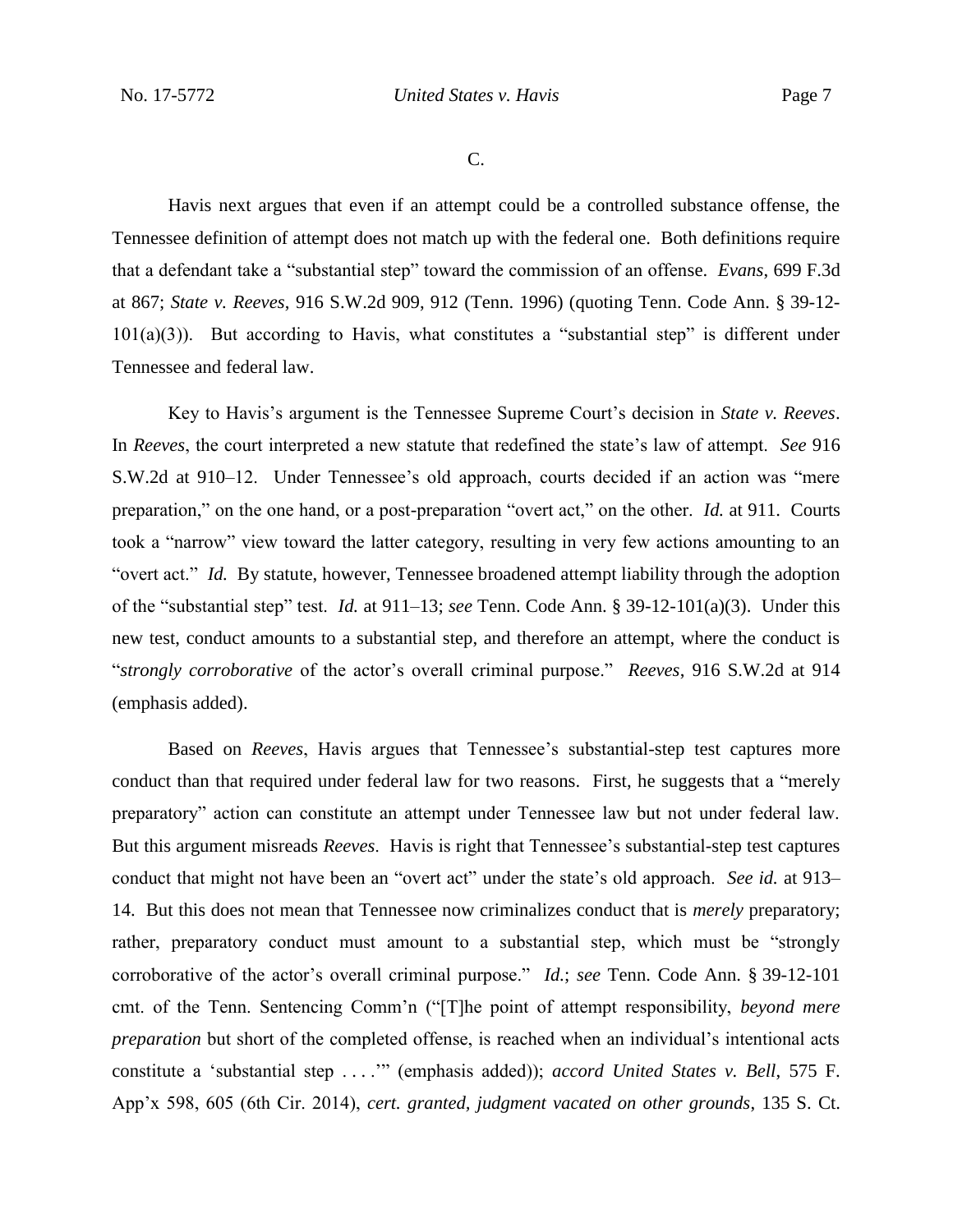C.

Havis next argues that even if an attempt could be a controlled substance offense, the Tennessee definition of attempt does not match up with the federal one. Both definitions require that a defendant take a "substantial step" toward the commission of an offense. *Evans*, 699 F.3d at 867; *State v. Reeves*, 916 S.W.2d 909, 912 (Tenn. 1996) (quoting Tenn. Code Ann. § 39-12-  $101(a)(3)$ ). But according to Havis, what constitutes a "substantial step" is different under Tennessee and federal law.

Key to Havis's argument is the Tennessee Supreme Court's decision in *State v. Reeves*. In *Reeves*, the court interpreted a new statute that redefined the state's law of attempt. *See* 916 S.W.2d at 910–12. Under Tennessee's old approach, courts decided if an action was "mere preparation," on the one hand, or a post-preparation "overt act," on the other. *Id.* at 911. Courts took a "narrow" view toward the latter category, resulting in very few actions amounting to an "overt act." *Id.* By statute, however, Tennessee broadened attempt liability through the adoption of the "substantial step" test. *Id.* at 911–13; *see* Tenn. Code Ann. § 39-12-101(a)(3). Under this new test, conduct amounts to a substantial step, and therefore an attempt, where the conduct is "*strongly corroborative* of the actor's overall criminal purpose." *Reeves*, 916 S.W.2d at 914 (emphasis added).

Based on *Reeves*, Havis argues that Tennessee's substantial-step test captures more conduct than that required under federal law for two reasons. First, he suggests that a "merely preparatory" action can constitute an attempt under Tennessee law but not under federal law. But this argument misreads *Reeves*. Havis is right that Tennessee's substantial-step test captures conduct that might not have been an "overt act" under the state's old approach. *See id.* at 913– 14. But this does not mean that Tennessee now criminalizes conduct that is *merely* preparatory; rather, preparatory conduct must amount to a substantial step, which must be "strongly corroborative of the actor's overall criminal purpose." *Id.*; *see* Tenn. Code Ann. § 39-12-101 cmt. of the Tenn. Sentencing Comm'n ("[T]he point of attempt responsibility, *beyond mere preparation* but short of the completed offense, is reached when an individual's intentional acts constitute a 'substantial step . . . .'" (emphasis added)); *accord United States v. Bell*, 575 F. App'x 598, 605 (6th Cir. 2014), *cert. granted, judgment vacated on other grounds*, 135 S. Ct.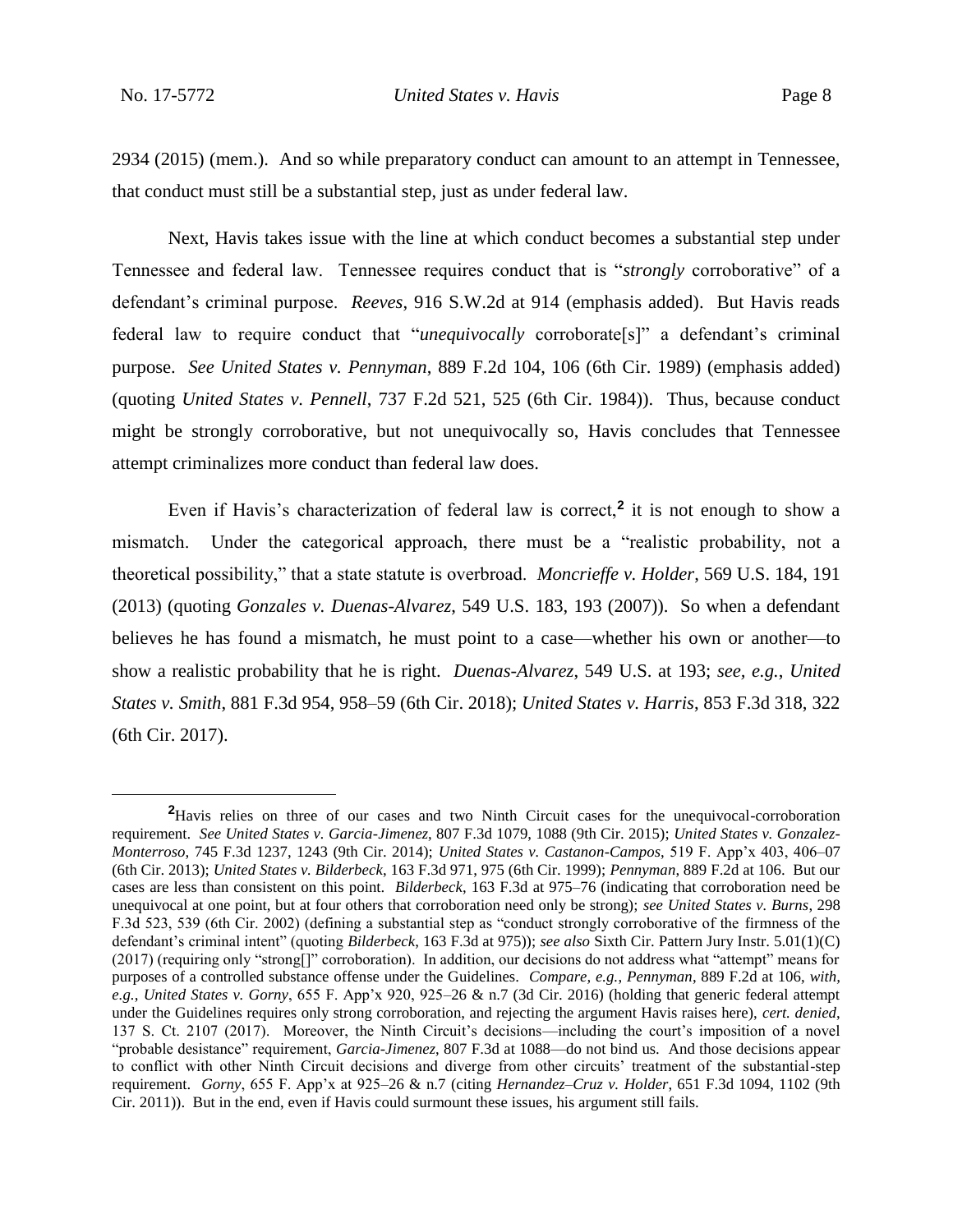2934 (2015) (mem.). And so while preparatory conduct can amount to an attempt in Tennessee, that conduct must still be a substantial step, just as under federal law.

Next, Havis takes issue with the line at which conduct becomes a substantial step under Tennessee and federal law. Tennessee requires conduct that is "*strongly* corroborative" of a defendant's criminal purpose. *Reeves*, 916 S.W.2d at 914 (emphasis added). But Havis reads federal law to require conduct that "*unequivocally* corroborate[s]" a defendant's criminal purpose. *See United States v. Pennyman*, 889 F.2d 104, 106 (6th Cir. 1989) (emphasis added) (quoting *United States v. Pennell*, 737 F.2d 521, 525 (6th Cir. 1984)). Thus, because conduct might be strongly corroborative, but not unequivocally so, Havis concludes that Tennessee attempt criminalizes more conduct than federal law does.

Even if Havis's characterization of federal law is correct,**<sup>2</sup>** it is not enough to show a mismatch. Under the categorical approach, there must be a "realistic probability, not a theoretical possibility," that a state statute is overbroad. *Moncrieffe v. Holder*, 569 U.S. 184, 191 (2013) (quoting *Gonzales v. Duenas-Alvarez*, 549 U.S. 183, 193 (2007)). So when a defendant believes he has found a mismatch, he must point to a case—whether his own or another—to show a realistic probability that he is right. *Duenas-Alvarez*, 549 U.S. at 193; *see, e.g.*, *United States v. Smith*, 881 F.3d 954, 958–59 (6th Cir. 2018); *United States v. Harris*, 853 F.3d 318, 322 (6th Cir. 2017).

<sup>&</sup>lt;sup>2</sup>Havis relies on three of our cases and two Ninth Circuit cases for the unequivocal-corroboration requirement. *See United States v. Garcia-Jimenez*, 807 F.3d 1079, 1088 (9th Cir. 2015); *United States v. Gonzalez-Monterroso*, 745 F.3d 1237, 1243 (9th Cir. 2014); *United States v. Castanon-Campos*, 519 F. App'x 403, 406–07 (6th Cir. 2013); *United States v. Bilderbeck*, 163 F.3d 971, 975 (6th Cir. 1999); *Pennyman*, 889 F.2d at 106. But our cases are less than consistent on this point. *Bilderbeck*, 163 F.3d at 975–76 (indicating that corroboration need be unequivocal at one point, but at four others that corroboration need only be strong); *see United States v. Burns*, 298 F.3d 523, 539 (6th Cir. 2002) (defining a substantial step as "conduct strongly corroborative of the firmness of the defendant's criminal intent" (quoting *Bilderbeck*, 163 F.3d at 975)); *see also* Sixth Cir. Pattern Jury Instr. 5.01(1)(C) (2017) (requiring only "strong[]" corroboration). In addition, our decisions do not address what "attempt" means for purposes of a controlled substance offense under the Guidelines. *Compare, e.g.*, *Pennyman*, 889 F.2d at 106, *with, e.g.*, *United States v. Gorny*, 655 F. App'x 920, 925–26 & n.7 (3d Cir. 2016) (holding that generic federal attempt under the Guidelines requires only strong corroboration, and rejecting the argument Havis raises here), *cert. denied*, 137 S. Ct. 2107 (2017). Moreover, the Ninth Circuit's decisions—including the court's imposition of a novel "probable desistance" requirement, *Garcia-Jimenez*, 807 F.3d at 1088—do not bind us. And those decisions appear to conflict with other Ninth Circuit decisions and diverge from other circuits' treatment of the substantial-step requirement. *Gorny*, 655 F. App'x at 925–26 & n.7 (citing *Hernandez–Cruz v. Holder*, 651 F.3d 1094, 1102 (9th Cir. 2011)). But in the end, even if Havis could surmount these issues, his argument still fails.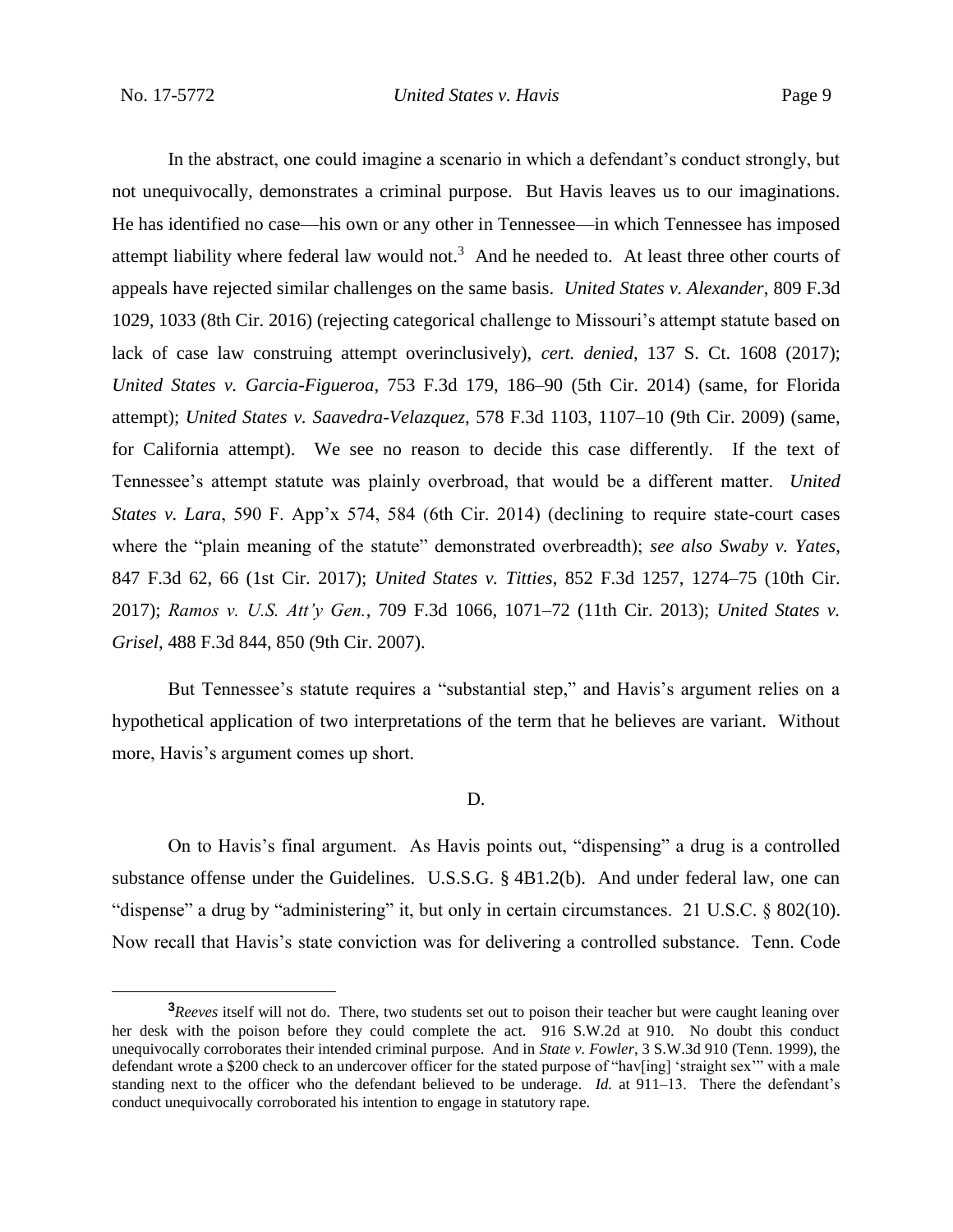In the abstract, one could imagine a scenario in which a defendant's conduct strongly, but not unequivocally, demonstrates a criminal purpose. But Havis leaves us to our imaginations. He has identified no case—his own or any other in Tennessee—in which Tennessee has imposed attempt liability where federal law would not.<sup>3</sup> And he needed to. At least three other courts of appeals have rejected similar challenges on the same basis. *United States v. Alexander*, 809 F.3d 1029, 1033 (8th Cir. 2016) (rejecting categorical challenge to Missouri's attempt statute based on lack of case law construing attempt overinclusively), *cert. denied*, 137 S. Ct. 1608 (2017); *United States v. Garcia-Figueroa*, 753 F.3d 179, 186–90 (5th Cir. 2014) (same, for Florida attempt); *United States v. Saavedra-Velazquez*, 578 F.3d 1103, 1107–10 (9th Cir. 2009) (same, for California attempt). We see no reason to decide this case differently. If the text of Tennessee's attempt statute was plainly overbroad, that would be a different matter. *United States v. Lara*, 590 F. App'x 574, 584 (6th Cir. 2014) (declining to require state-court cases where the "plain meaning of the statute" demonstrated overbreadth); *see also Swaby v. Yates*, 847 F.3d 62, 66 (1st Cir. 2017); *United States v. Titties*, 852 F.3d 1257, 1274–75 (10th Cir. 2017); *Ramos v. U.S. Att'y Gen.*, 709 F.3d 1066, 1071–72 (11th Cir. 2013); *United States v. Grisel*, 488 F.3d 844, 850 (9th Cir. 2007).

But Tennessee's statute requires a "substantial step," and Havis's argument relies on a hypothetical application of two interpretations of the term that he believes are variant. Without more, Havis's argument comes up short.

#### D.

On to Havis's final argument. As Havis points out, "dispensing" a drug is a controlled substance offense under the Guidelines. U.S.S.G. § 4B1.2(b). And under federal law, one can "dispense" a drug by "administering" it, but only in certain circumstances. 21 U.S.C. § 802(10). Now recall that Havis's state conviction was for delivering a controlled substance. Tenn. Code

**<sup>3</sup>***Reeves* itself will not do. There, two students set out to poison their teacher but were caught leaning over her desk with the poison before they could complete the act. 916 S.W.2d at 910. No doubt this conduct unequivocally corroborates their intended criminal purpose. And in *State v. Fowler*, 3 S.W.3d 910 (Tenn. 1999), the defendant wrote a \$200 check to an undercover officer for the stated purpose of "hav[ing] 'straight sex'" with a male standing next to the officer who the defendant believed to be underage. *Id.* at 911–13. There the defendant's conduct unequivocally corroborated his intention to engage in statutory rape.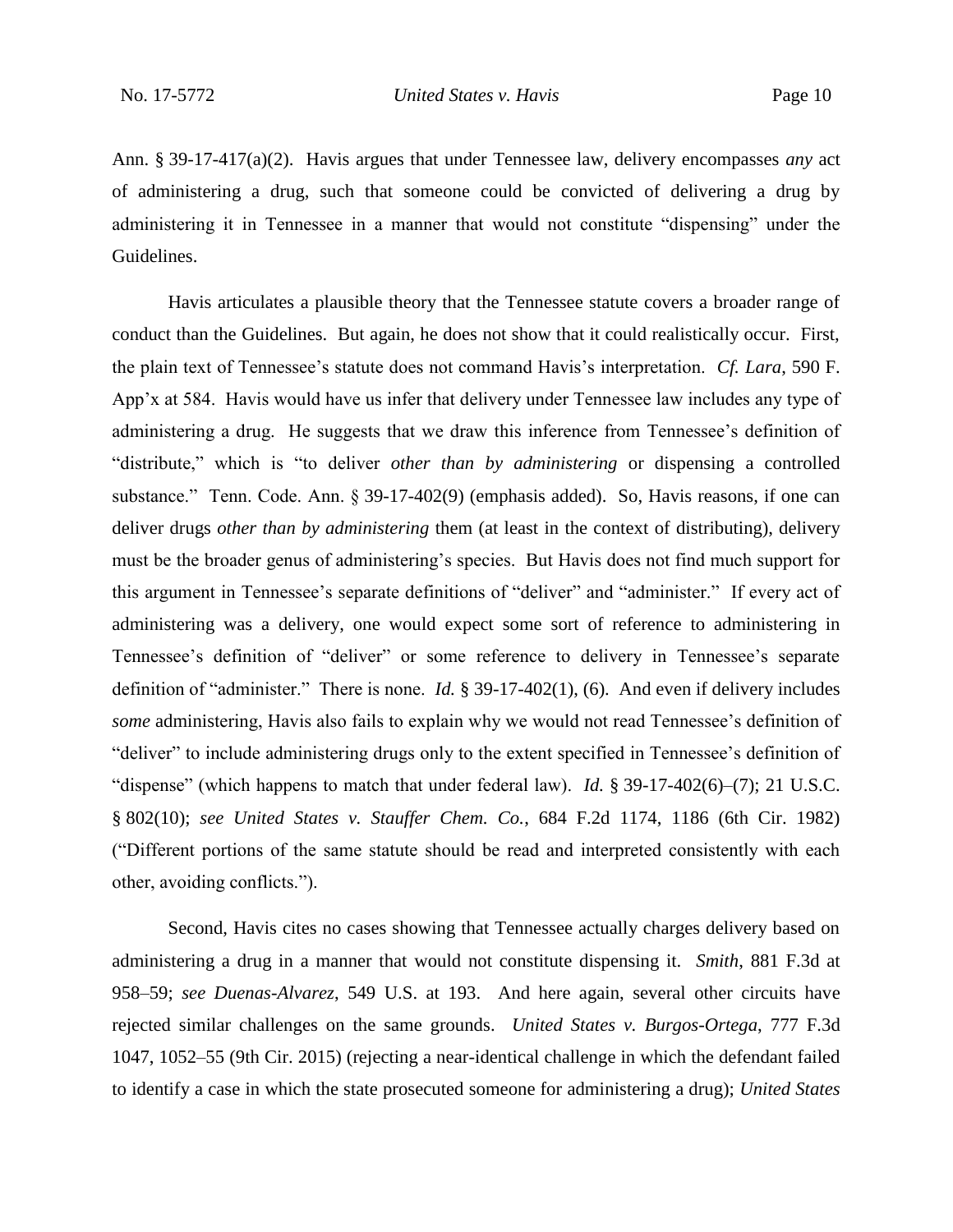Ann. § 39-17-417(a)(2). Havis argues that under Tennessee law, delivery encompasses *any* act of administering a drug, such that someone could be convicted of delivering a drug by administering it in Tennessee in a manner that would not constitute "dispensing" under the Guidelines.

Havis articulates a plausible theory that the Tennessee statute covers a broader range of conduct than the Guidelines. But again, he does not show that it could realistically occur. First, the plain text of Tennessee's statute does not command Havis's interpretation. *Cf. Lara*, 590 F. App'x at 584. Havis would have us infer that delivery under Tennessee law includes any type of administering a drug. He suggests that we draw this inference from Tennessee's definition of "distribute," which is "to deliver *other than by administering* or dispensing a controlled substance." Tenn. Code. Ann. § 39-17-402(9) (emphasis added). So, Havis reasons, if one can deliver drugs *other than by administering* them (at least in the context of distributing), delivery must be the broader genus of administering's species. But Havis does not find much support for this argument in Tennessee's separate definitions of "deliver" and "administer." If every act of administering was a delivery, one would expect some sort of reference to administering in Tennessee's definition of "deliver" or some reference to delivery in Tennessee's separate definition of "administer." There is none. *Id.* § 39-17-402(1), (6). And even if delivery includes *some* administering, Havis also fails to explain why we would not read Tennessee's definition of "deliver" to include administering drugs only to the extent specified in Tennessee's definition of "dispense" (which happens to match that under federal law). *Id.* § 39-17-402(6)–(7); 21 U.S.C. § 802(10); *see United States v. Stauffer Chem. Co.*, 684 F.2d 1174, 1186 (6th Cir. 1982) ("Different portions of the same statute should be read and interpreted consistently with each other, avoiding conflicts.").

Second, Havis cites no cases showing that Tennessee actually charges delivery based on administering a drug in a manner that would not constitute dispensing it. *Smith*, 881 F.3d at 958–59; *see Duenas-Alvarez*, 549 U.S. at 193. And here again, several other circuits have rejected similar challenges on the same grounds. *United States v. Burgos-Ortega*, 777 F.3d 1047, 1052–55 (9th Cir. 2015) (rejecting a near-identical challenge in which the defendant failed to identify a case in which the state prosecuted someone for administering a drug); *United States*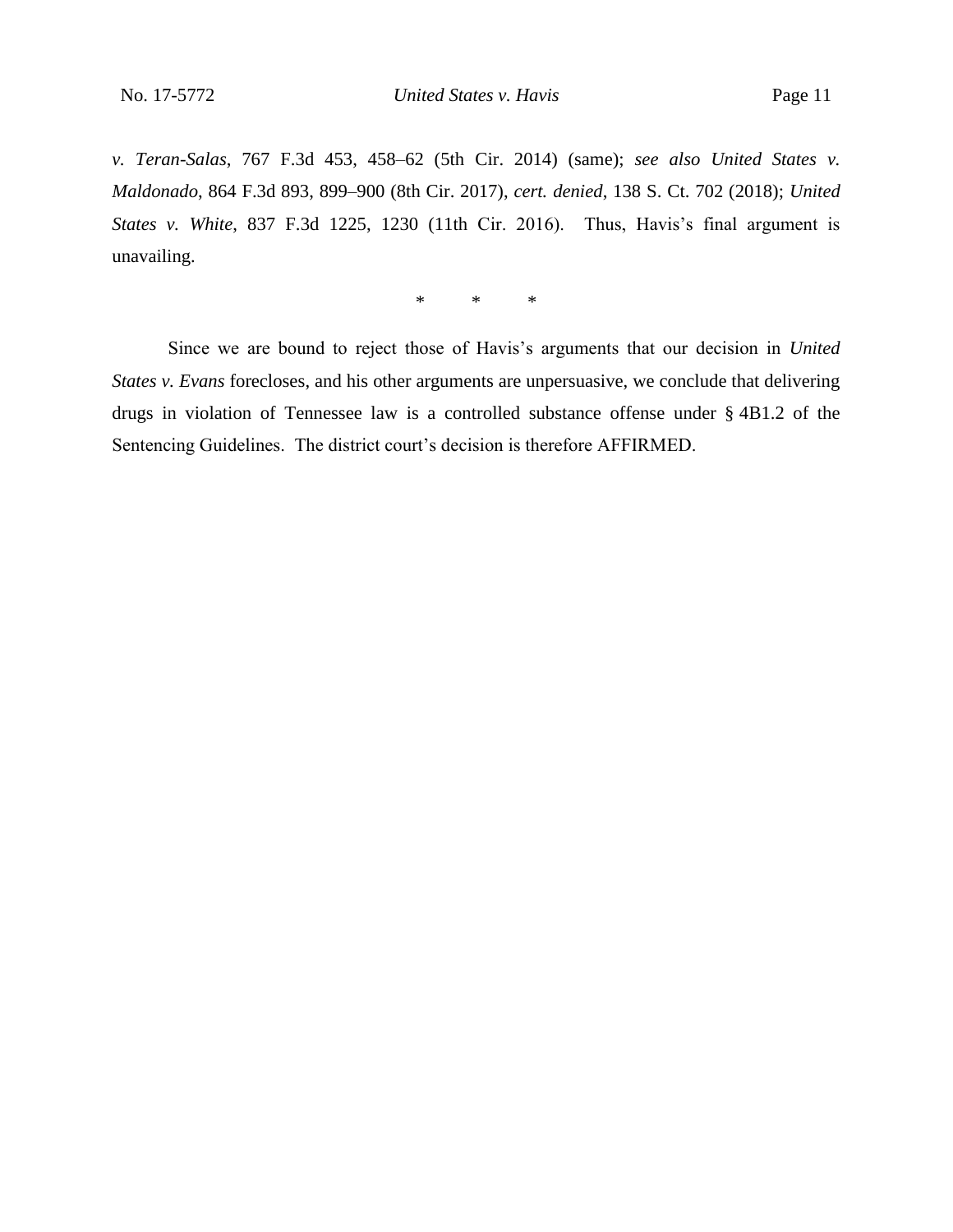*v. Teran-Salas*, 767 F.3d 453, 458–62 (5th Cir. 2014) (same); *see also United States v. Maldonado*, 864 F.3d 893, 899–900 (8th Cir. 2017), *cert. denied*, 138 S. Ct. 702 (2018); *United States v. White*, 837 F.3d 1225, 1230 (11th Cir. 2016). Thus, Havis's final argument is unavailing.

\* \* \*

Since we are bound to reject those of Havis's arguments that our decision in *United States v. Evans* forecloses, and his other arguments are unpersuasive, we conclude that delivering drugs in violation of Tennessee law is a controlled substance offense under § 4B1.2 of the Sentencing Guidelines. The district court's decision is therefore AFFIRMED.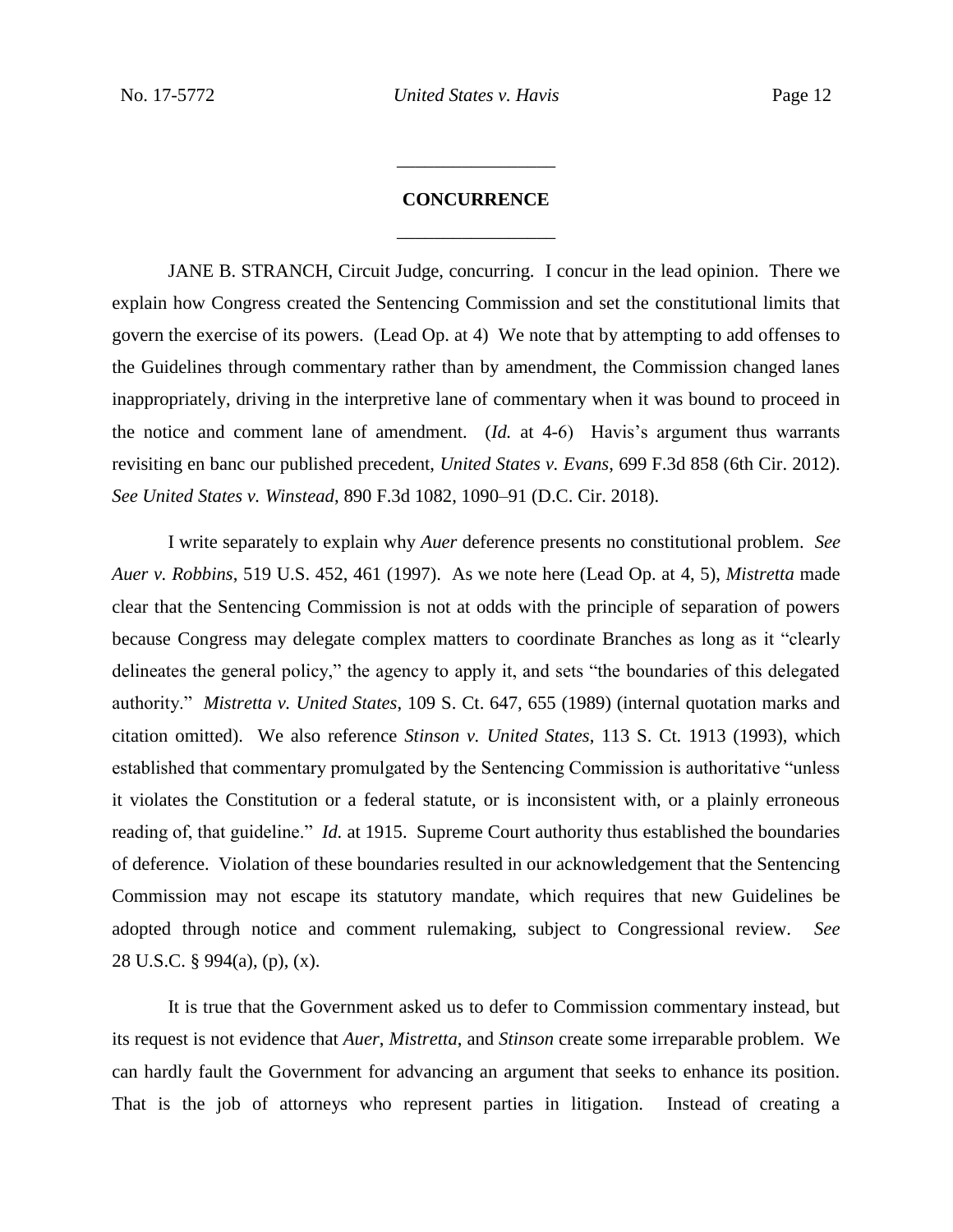## **CONCURRENCE** \_\_\_\_\_\_\_\_\_\_\_\_\_\_\_\_\_

\_\_\_\_\_\_\_\_\_\_\_\_\_\_\_\_\_

JANE B. STRANCH, Circuit Judge, concurring.I concur in the lead opinion. There we explain how Congress created the Sentencing Commission and set the constitutional limits that govern the exercise of its powers. (Lead Op. at 4) We note that by attempting to add offenses to the Guidelines through commentary rather than by amendment, the Commission changed lanes inappropriately, driving in the interpretive lane of commentary when it was bound to proceed in the notice and comment lane of amendment. (*Id.* at 4-6) Havis's argument thus warrants revisiting en banc our published precedent, *United States v. Evans*, 699 F.3d 858 (6th Cir. 2012). *See United States v. Winstead*, 890 F.3d 1082, 1090–91 (D.C. Cir. 2018).

I write separately to explain why *Auer* deference presents no constitutional problem. *See Auer v. Robbins*, 519 U.S. 452, 461 (1997). As we note here (Lead Op. at 4, 5), *Mistretta* made clear that the Sentencing Commission is not at odds with the principle of separation of powers because Congress may delegate complex matters to coordinate Branches as long as it "clearly delineates the general policy," the agency to apply it, and sets "the boundaries of this delegated authority." *Mistretta v. United States*, 109 S. Ct. 647, 655 (1989) (internal quotation marks and citation omitted). We also reference *Stinson v. United States*, 113 S. Ct. 1913 (1993), which established that commentary promulgated by the Sentencing Commission is authoritative "unless it violates the Constitution or a federal statute, or is inconsistent with, or a plainly erroneous reading of, that guideline." *Id.* at 1915. Supreme Court authority thus established the boundaries of deference. Violation of these boundaries resulted in our acknowledgement that the Sentencing Commission may not escape its statutory mandate, which requires that new Guidelines be adopted through notice and comment rulemaking, subject to Congressional review. *See*  28 U.S.C. § 994(a), (p), (x).

It is true that the Government asked us to defer to Commission commentary instead, but its request is not evidence that *Auer*, *Mistretta*, and *Stinson* create some irreparable problem. We can hardly fault the Government for advancing an argument that seeks to enhance its position. That is the job of attorneys who represent parties in litigation. Instead of creating a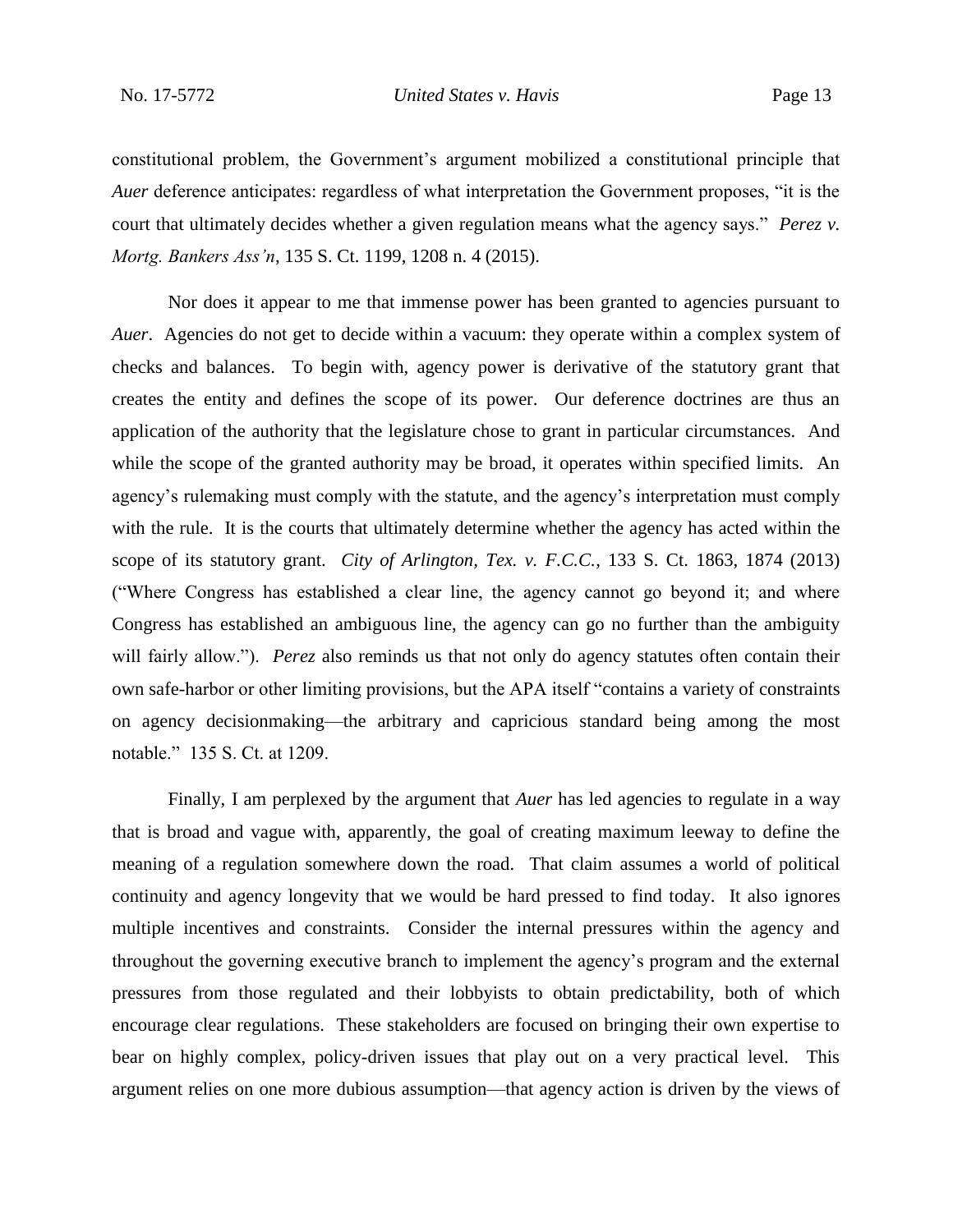constitutional problem, the Government's argument mobilized a constitutional principle that *Auer* deference anticipates: regardless of what interpretation the Government proposes, "it is the court that ultimately decides whether a given regulation means what the agency says." *Perez v. Mortg. Bankers Ass'n*, 135 S. Ct. 1199, 1208 n. 4 (2015).

Nor does it appear to me that immense power has been granted to agencies pursuant to *Auer*. Agencies do not get to decide within a vacuum: they operate within a complex system of checks and balances. To begin with, agency power is derivative of the statutory grant that creates the entity and defines the scope of its power. Our deference doctrines are thus an application of the authority that the legislature chose to grant in particular circumstances. And while the scope of the granted authority may be broad, it operates within specified limits. An agency's rulemaking must comply with the statute, and the agency's interpretation must comply with the rule. It is the courts that ultimately determine whether the agency has acted within the scope of its statutory grant. *City of Arlington, Tex. v. F.C.C.*, 133 S. Ct. 1863, 1874 (2013) ("Where Congress has established a clear line, the agency cannot go beyond it; and where Congress has established an ambiguous line, the agency can go no further than the ambiguity will fairly allow."). *Perez* also reminds us that not only do agency statutes often contain their own safe-harbor or other limiting provisions, but the APA itself "contains a variety of constraints on agency decisionmaking—the arbitrary and capricious standard being among the most notable." 135 S. Ct. at 1209.

Finally, I am perplexed by the argument that *Auer* has led agencies to regulate in a way that is broad and vague with, apparently, the goal of creating maximum leeway to define the meaning of a regulation somewhere down the road. That claim assumes a world of political continuity and agency longevity that we would be hard pressed to find today. It also ignores multiple incentives and constraints. Consider the internal pressures within the agency and throughout the governing executive branch to implement the agency's program and the external pressures from those regulated and their lobbyists to obtain predictability, both of which encourage clear regulations. These stakeholders are focused on bringing their own expertise to bear on highly complex, policy-driven issues that play out on a very practical level. This argument relies on one more dubious assumption—that agency action is driven by the views of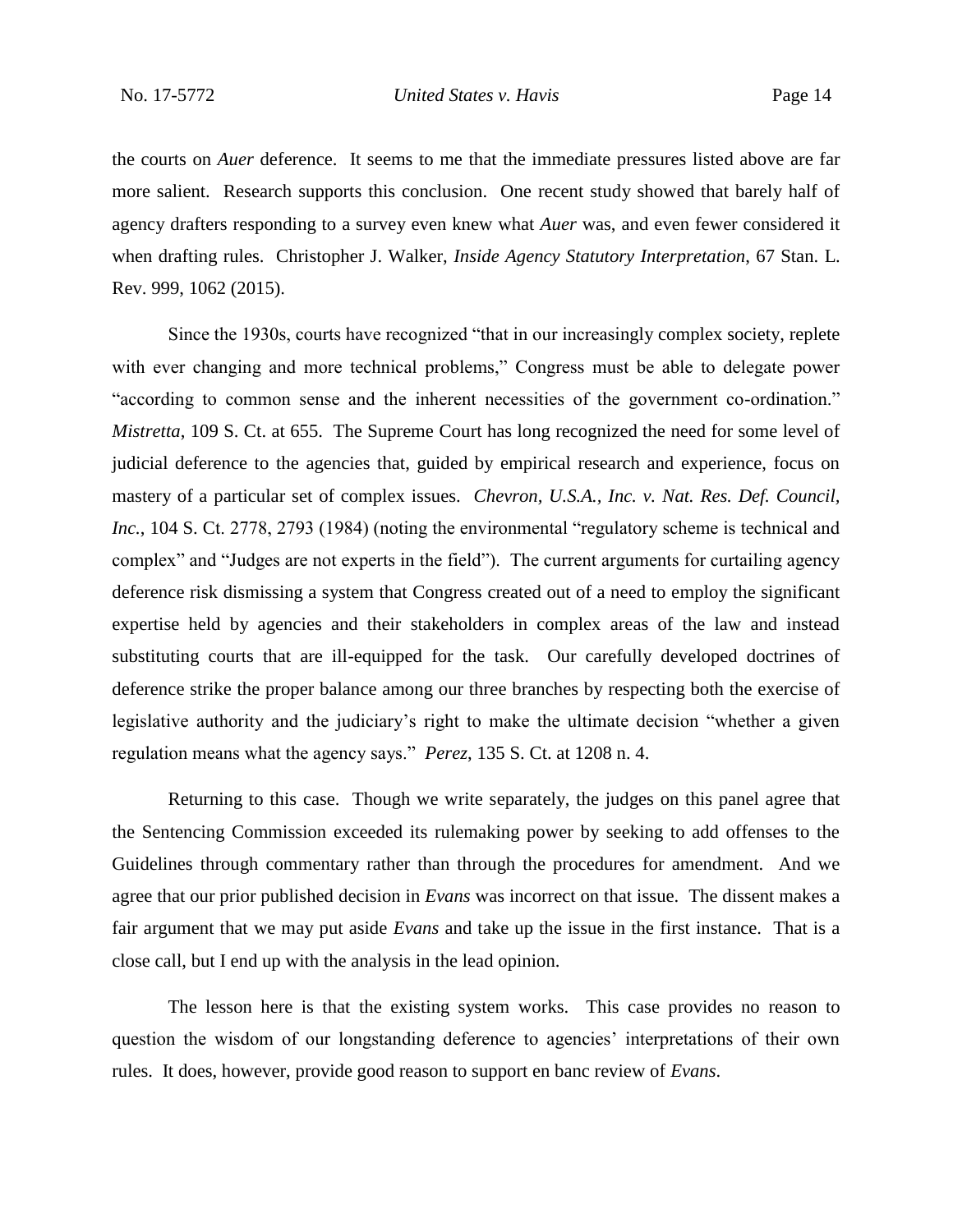the courts on *Auer* deference. It seems to me that the immediate pressures listed above are far more salient. Research supports this conclusion. One recent study showed that barely half of agency drafters responding to a survey even knew what *Auer* was, and even fewer considered it when drafting rules. Christopher J. Walker, *Inside Agency Statutory Interpretation*, 67 Stan. L. Rev. 999, 1062 (2015).

Since the 1930s, courts have recognized "that in our increasingly complex society, replete with ever changing and more technical problems," Congress must be able to delegate power "according to common sense and the inherent necessities of the government co-ordination." *Mistretta*, 109 S. Ct. at 655. The Supreme Court has long recognized the need for some level of judicial deference to the agencies that, guided by empirical research and experience, focus on mastery of a particular set of complex issues. *Chevron, U.S.A., Inc. v. Nat. Res. Def. Council, Inc.*, 104 S. Ct. 2778, 2793 (1984) (noting the environmental "regulatory scheme is technical and complex" and "Judges are not experts in the field"). The current arguments for curtailing agency deference risk dismissing a system that Congress created out of a need to employ the significant expertise held by agencies and their stakeholders in complex areas of the law and instead substituting courts that are ill-equipped for the task. Our carefully developed doctrines of deference strike the proper balance among our three branches by respecting both the exercise of legislative authority and the judiciary's right to make the ultimate decision "whether a given regulation means what the agency says." *Perez*, 135 S. Ct. at 1208 n. 4.

Returning to this case. Though we write separately, the judges on this panel agree that the Sentencing Commission exceeded its rulemaking power by seeking to add offenses to the Guidelines through commentary rather than through the procedures for amendment. And we agree that our prior published decision in *Evans* was incorrect on that issue. The dissent makes a fair argument that we may put aside *Evans* and take up the issue in the first instance. That is a close call, but I end up with the analysis in the lead opinion.

The lesson here is that the existing system works. This case provides no reason to question the wisdom of our longstanding deference to agencies' interpretations of their own rules. It does, however, provide good reason to support en banc review of *Evans*.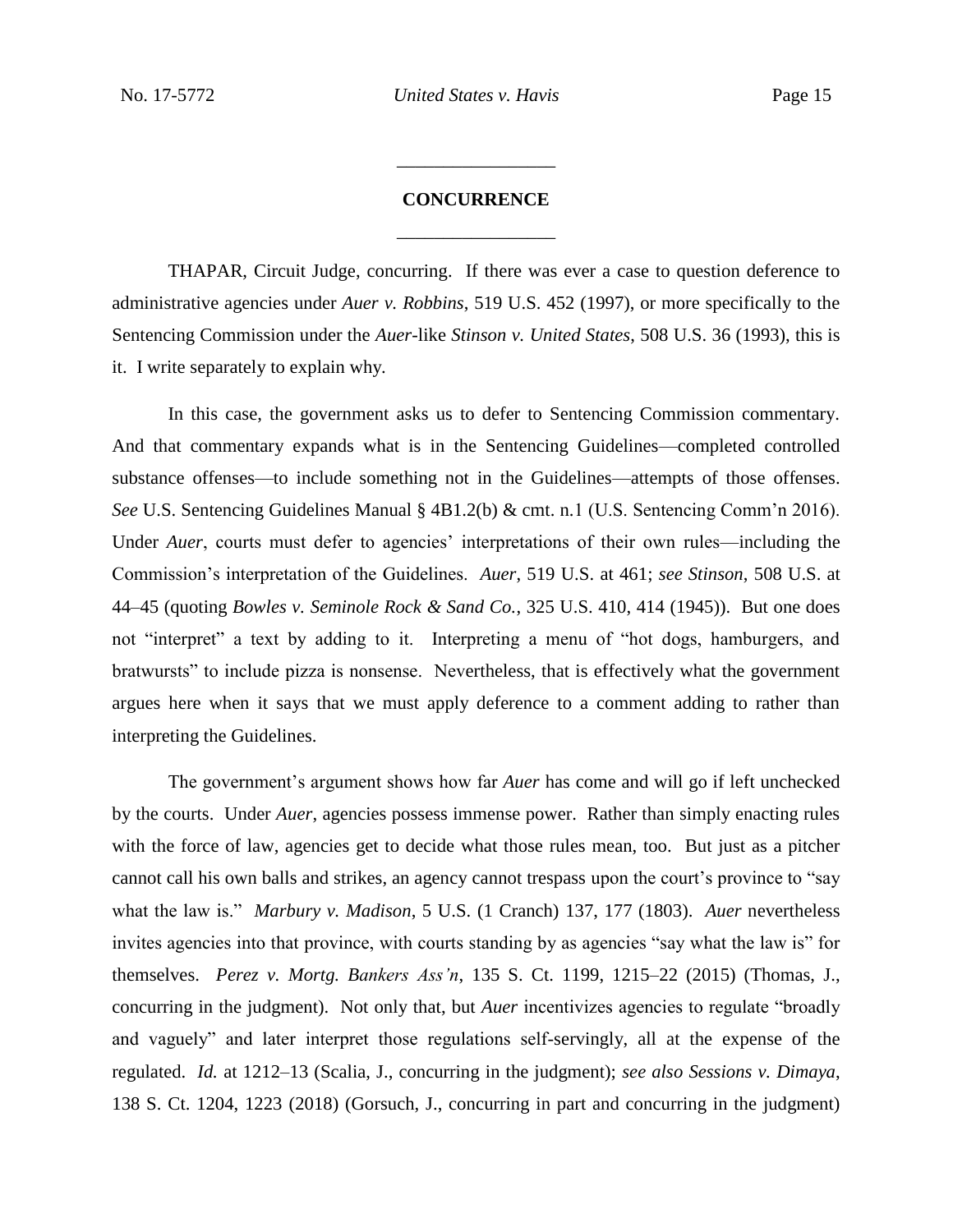## **CONCURRENCE** \_\_\_\_\_\_\_\_\_\_\_\_\_\_\_\_\_

\_\_\_\_\_\_\_\_\_\_\_\_\_\_\_\_\_

THAPAR, Circuit Judge, concurring. If there was ever a case to question deference to administrative agencies under *Auer v. Robbins*, 519 U.S. 452 (1997), or more specifically to the Sentencing Commission under the *Auer*-like *Stinson v. United States*, 508 U.S. 36 (1993), this is it. I write separately to explain why.

In this case, the government asks us to defer to Sentencing Commission commentary. And that commentary expands what is in the Sentencing Guidelines—completed controlled substance offenses—to include something not in the Guidelines—attempts of those offenses. *See* U.S. Sentencing Guidelines Manual § 4B1.2(b) & cmt. n.1 (U.S. Sentencing Comm'n 2016). Under *Auer*, courts must defer to agencies' interpretations of their own rules—including the Commission's interpretation of the Guidelines. *Auer*, 519 U.S. at 461; *see Stinson*, 508 U.S. at 44–45 (quoting *Bowles v. Seminole Rock & Sand Co.*, 325 U.S. 410, 414 (1945)). But one does not "interpret" a text by adding to it. Interpreting a menu of "hot dogs, hamburgers, and bratwursts" to include pizza is nonsense. Nevertheless, that is effectively what the government argues here when it says that we must apply deference to a comment adding to rather than interpreting the Guidelines.

The government's argument shows how far *Auer* has come and will go if left unchecked by the courts. Under *Auer*, agencies possess immense power. Rather than simply enacting rules with the force of law, agencies get to decide what those rules mean, too. But just as a pitcher cannot call his own balls and strikes, an agency cannot trespass upon the court's province to "say what the law is." *Marbury v. Madison*, 5 U.S. (1 Cranch) 137, 177 (1803). *Auer* nevertheless invites agencies into that province, with courts standing by as agencies "say what the law is" for themselves. *Perez v. Mortg. Bankers Ass'n*, 135 S. Ct. 1199, 1215–22 (2015) (Thomas, J., concurring in the judgment). Not only that, but *Auer* incentivizes agencies to regulate "broadly and vaguely" and later interpret those regulations self-servingly, all at the expense of the regulated. *Id.* at 1212–13 (Scalia, J., concurring in the judgment); *see also Sessions v. Dimaya*, 138 S. Ct. 1204, 1223 (2018) (Gorsuch, J., concurring in part and concurring in the judgment)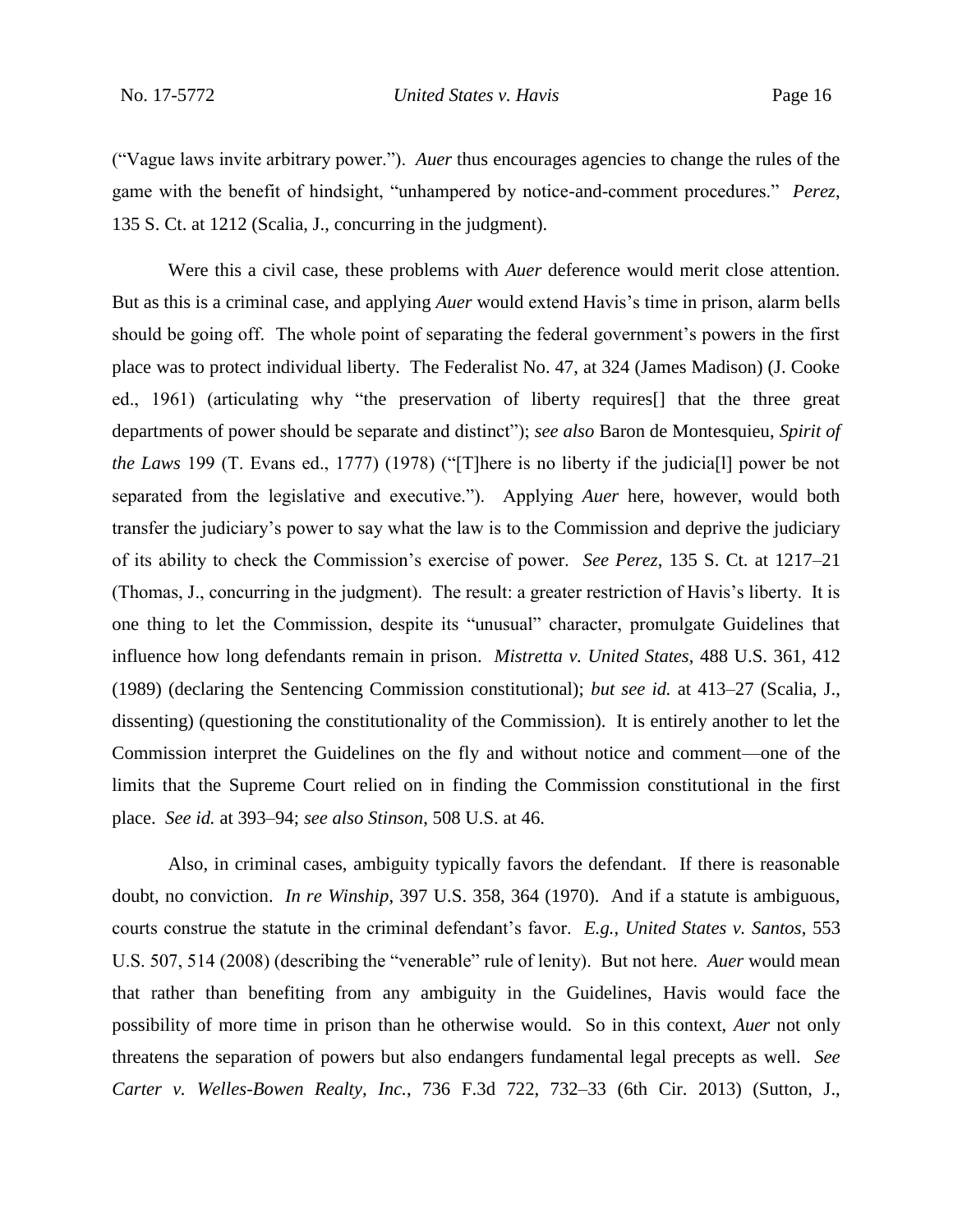("Vague laws invite arbitrary power."). *Auer* thus encourages agencies to change the rules of the game with the benefit of hindsight, "unhampered by notice-and-comment procedures." *Perez*, 135 S. Ct. at 1212 (Scalia, J., concurring in the judgment).

Were this a civil case, these problems with *Auer* deference would merit close attention. But as this is a criminal case, and applying *Auer* would extend Havis's time in prison, alarm bells should be going off. The whole point of separating the federal government's powers in the first place was to protect individual liberty. The Federalist No. 47, at 324 (James Madison) (J. Cooke ed., 1961) (articulating why "the preservation of liberty requires[] that the three great departments of power should be separate and distinct"); *see also* Baron de Montesquieu, *Spirit of the Laws* 199 (T. Evans ed., 1777) (1978) ("[T]here is no liberty if the judicia[l] power be not separated from the legislative and executive."). Applying *Auer* here, however, would both transfer the judiciary's power to say what the law is to the Commission and deprive the judiciary of its ability to check the Commission's exercise of power. *See Perez*, 135 S. Ct. at 1217–21 (Thomas, J., concurring in the judgment). The result: a greater restriction of Havis's liberty. It is one thing to let the Commission, despite its "unusual" character, promulgate Guidelines that influence how long defendants remain in prison. *Mistretta v. United States*, 488 U.S. 361, 412 (1989) (declaring the Sentencing Commission constitutional); *but see id.* at 413–27 (Scalia, J., dissenting) (questioning the constitutionality of the Commission). It is entirely another to let the Commission interpret the Guidelines on the fly and without notice and comment—one of the limits that the Supreme Court relied on in finding the Commission constitutional in the first place. *See id.* at 393–94; *see also Stinson*, 508 U.S. at 46.

Also, in criminal cases, ambiguity typically favors the defendant. If there is reasonable doubt, no conviction. *In re Winship*, 397 U.S. 358, 364 (1970). And if a statute is ambiguous, courts construe the statute in the criminal defendant's favor. *E.g.*, *United States v. Santos*, 553 U.S. 507, 514 (2008) (describing the "venerable" rule of lenity). But not here. *Auer* would mean that rather than benefiting from any ambiguity in the Guidelines, Havis would face the possibility of more time in prison than he otherwise would. So in this context, *Auer* not only threatens the separation of powers but also endangers fundamental legal precepts as well. *See Carter v. Welles-Bowen Realty, Inc.*, 736 F.3d 722, 732–33 (6th Cir. 2013) (Sutton, J.,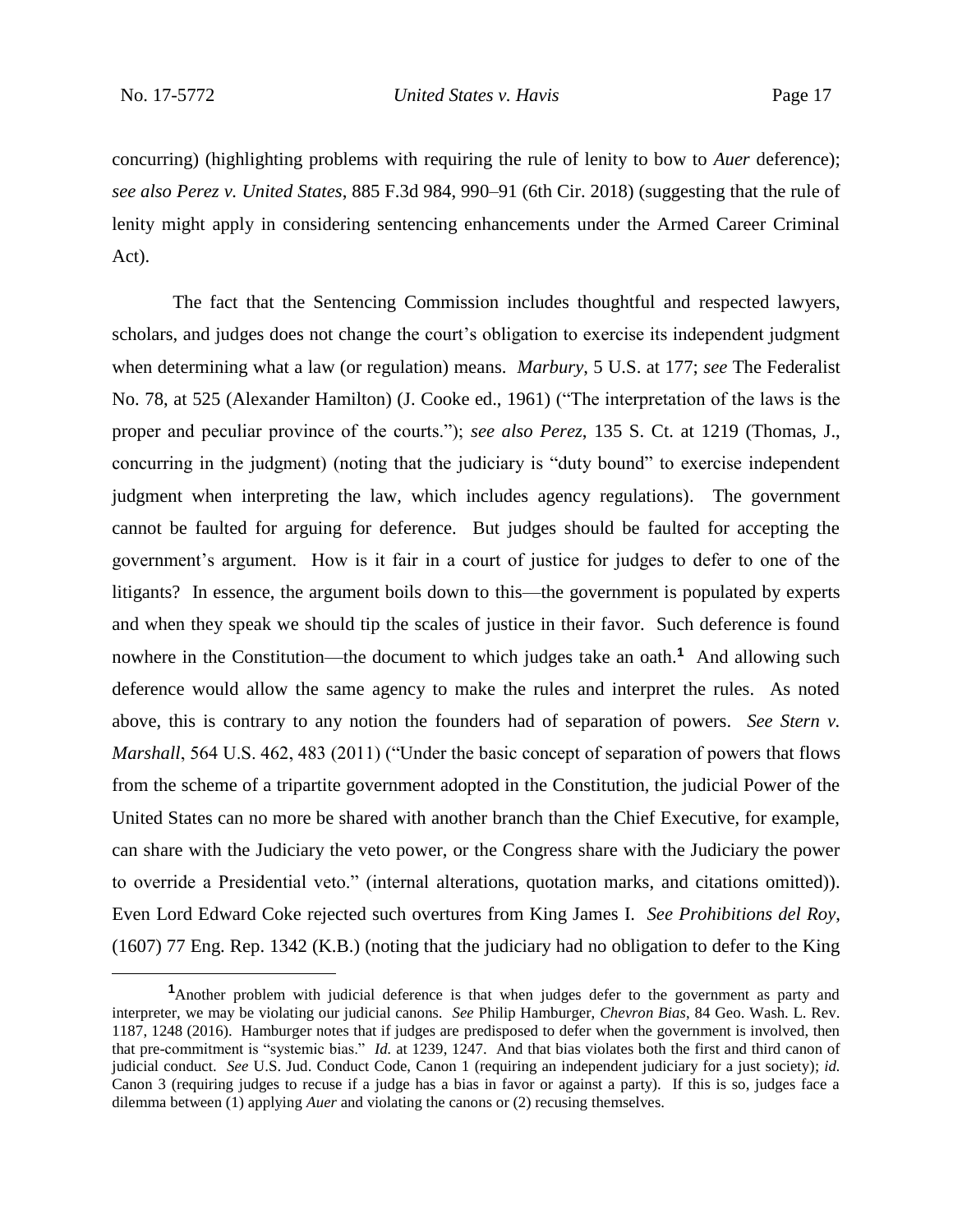concurring) (highlighting problems with requiring the rule of lenity to bow to *Auer* deference); *see also Perez v. United States*, 885 F.3d 984, 990–91 (6th Cir. 2018) (suggesting that the rule of lenity might apply in considering sentencing enhancements under the Armed Career Criminal Act).

The fact that the Sentencing Commission includes thoughtful and respected lawyers, scholars, and judges does not change the court's obligation to exercise its independent judgment when determining what a law (or regulation) means. *Marbury*, 5 U.S. at 177; *see* The Federalist No. 78, at 525 (Alexander Hamilton) (J. Cooke ed., 1961) ("The interpretation of the laws is the proper and peculiar province of the courts."); *see also Perez*, 135 S. Ct. at 1219 (Thomas, J., concurring in the judgment) (noting that the judiciary is "duty bound" to exercise independent judgment when interpreting the law, which includes agency regulations). The government cannot be faulted for arguing for deference. But judges should be faulted for accepting the government's argument. How is it fair in a court of justice for judges to defer to one of the litigants? In essence, the argument boils down to this—the government is populated by experts and when they speak we should tip the scales of justice in their favor. Such deference is found nowhere in the Constitution—the document to which judges take an oath.**<sup>1</sup>** And allowing such deference would allow the same agency to make the rules and interpret the rules. As noted above, this is contrary to any notion the founders had of separation of powers. *See Stern v. Marshall*, 564 U.S. 462, 483 (2011) ("Under the basic concept of separation of powers that flows from the scheme of a tripartite government adopted in the Constitution, the judicial Power of the United States can no more be shared with another branch than the Chief Executive, for example, can share with the Judiciary the veto power, or the Congress share with the Judiciary the power to override a Presidential veto." (internal alterations, quotation marks, and citations omitted)). Even Lord Edward Coke rejected such overtures from King James I. *See Prohibitions del Roy*, (1607) 77 Eng. Rep. 1342 (K.B.) (noting that the judiciary had no obligation to defer to the King

**<sup>1</sup>**Another problem with judicial deference is that when judges defer to the government as party and interpreter, we may be violating our judicial canons. *See* Philip Hamburger, *Chevron Bias*, 84 Geo. Wash. L. Rev. 1187, 1248 (2016). Hamburger notes that if judges are predisposed to defer when the government is involved, then that pre-commitment is "systemic bias." *Id.* at 1239, 1247. And that bias violates both the first and third canon of judicial conduct. *See* U.S. Jud. Conduct Code, Canon 1 (requiring an independent judiciary for a just society); *id.* Canon 3 (requiring judges to recuse if a judge has a bias in favor or against a party). If this is so, judges face a dilemma between (1) applying *Auer* and violating the canons or (2) recusing themselves.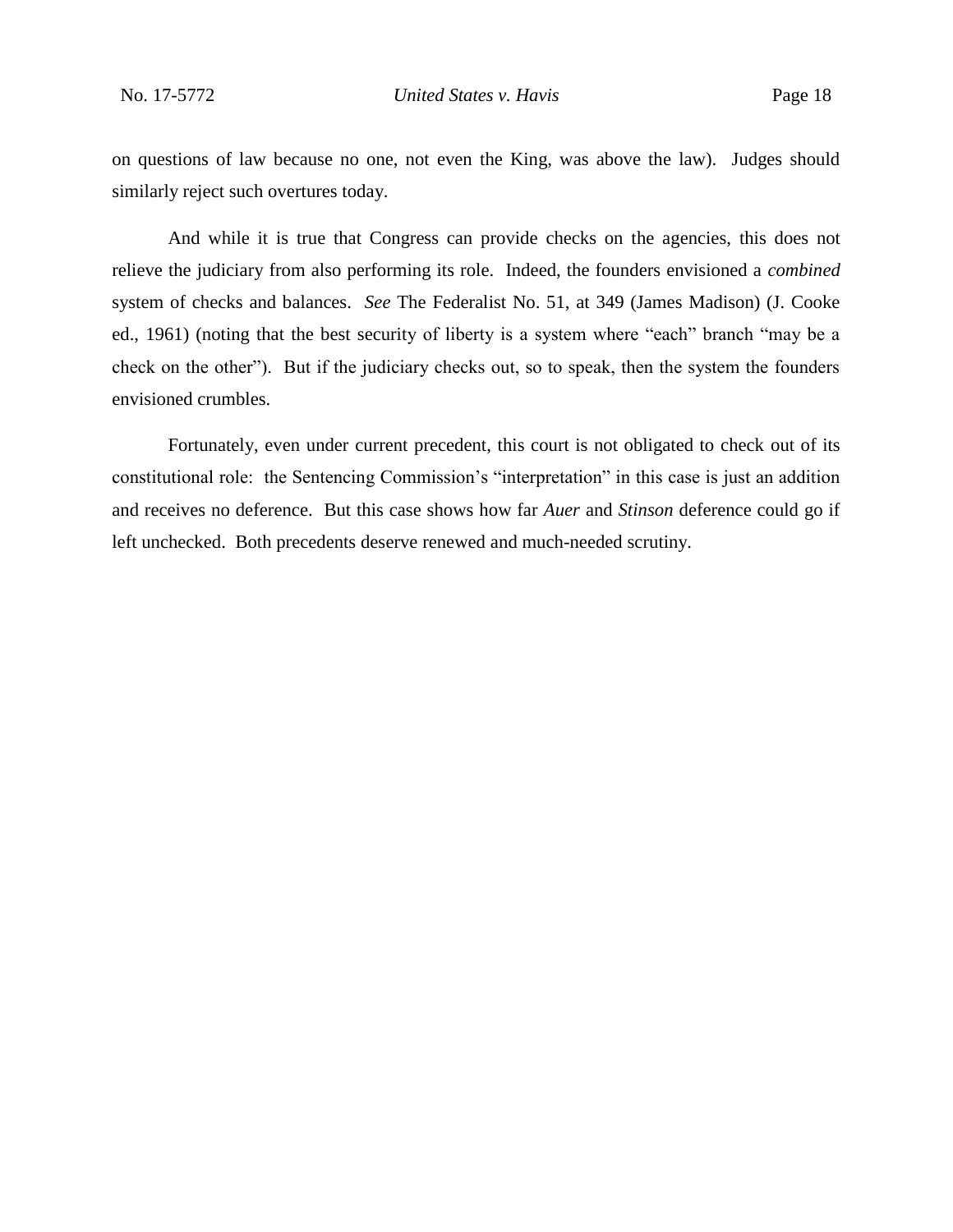on questions of law because no one, not even the King, was above the law). Judges should similarly reject such overtures today.

And while it is true that Congress can provide checks on the agencies, this does not relieve the judiciary from also performing its role. Indeed, the founders envisioned a *combined* system of checks and balances. *See* The Federalist No. 51, at 349 (James Madison) (J. Cooke ed., 1961) (noting that the best security of liberty is a system where "each" branch "may be a check on the other"). But if the judiciary checks out, so to speak, then the system the founders envisioned crumbles.

Fortunately, even under current precedent, this court is not obligated to check out of its constitutional role: the Sentencing Commission's "interpretation" in this case is just an addition and receives no deference. But this case shows how far *Auer* and *Stinson* deference could go if left unchecked. Both precedents deserve renewed and much-needed scrutiny.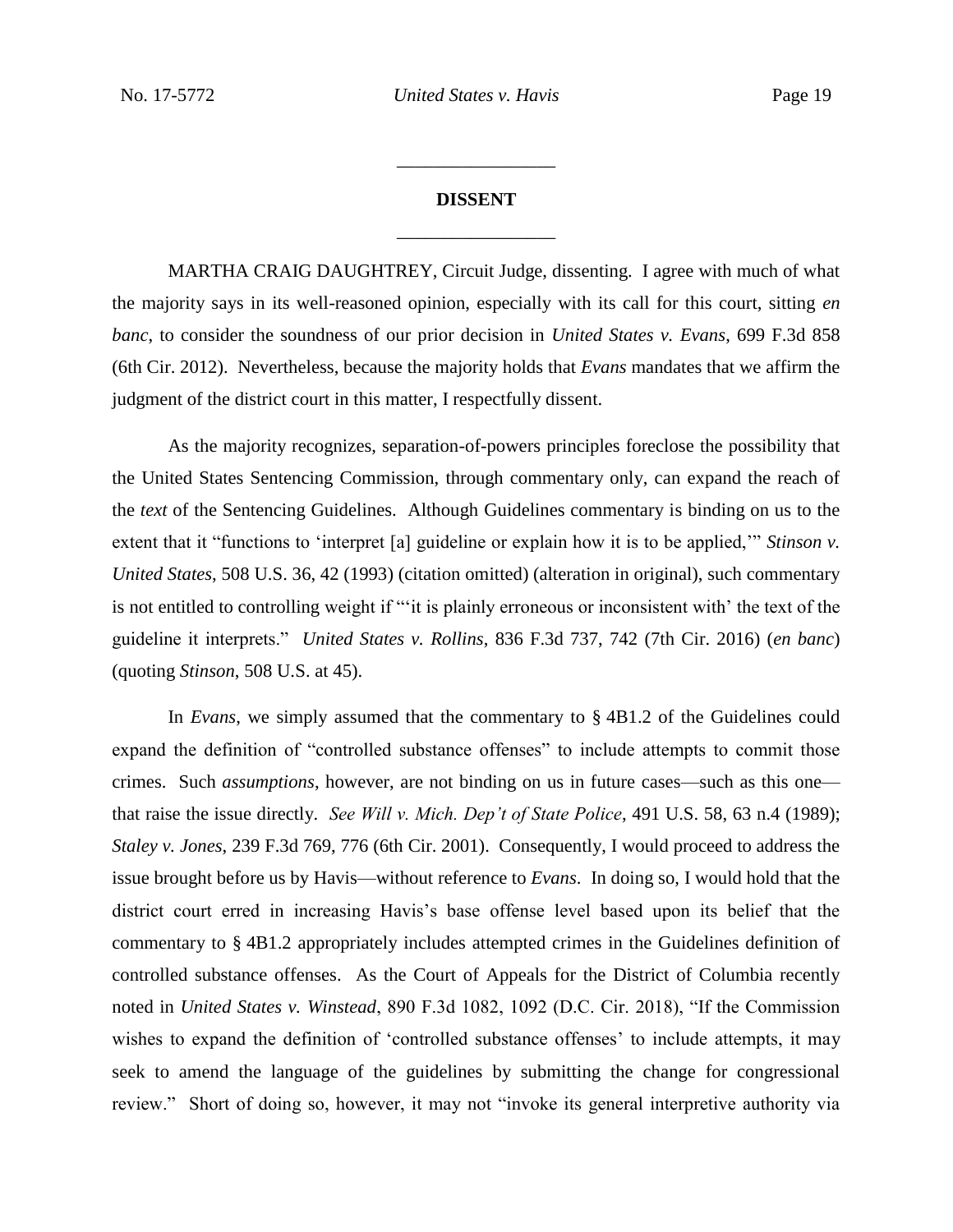# **DISSENT** \_\_\_\_\_\_\_\_\_\_\_\_\_\_\_\_\_

\_\_\_\_\_\_\_\_\_\_\_\_\_\_\_\_\_

MARTHA CRAIG DAUGHTREY, Circuit Judge, dissenting. I agree with much of what the majority says in its well-reasoned opinion, especially with its call for this court, sitting *en banc*, to consider the soundness of our prior decision in *United States v. Evans*, 699 F.3d 858 (6th Cir. 2012). Nevertheless, because the majority holds that *Evans* mandates that we affirm the judgment of the district court in this matter, I respectfully dissent.

As the majority recognizes, separation-of-powers principles foreclose the possibility that the United States Sentencing Commission, through commentary only, can expand the reach of the *text* of the Sentencing Guidelines. Although Guidelines commentary is binding on us to the extent that it "functions to 'interpret [a] guideline or explain how it is to be applied," *Stinson v. United States*, 508 U.S. 36, 42 (1993) (citation omitted) (alteration in original), such commentary is not entitled to controlling weight if "'it is plainly erroneous or inconsistent with' the text of the guideline it interprets." *United States v. Rollins*, 836 F.3d 737, 742 (7th Cir. 2016) (*en banc*) (quoting *Stinson*, 508 U.S. at 45).

In *Evans*, we simply assumed that the commentary to § 4B1.2 of the Guidelines could expand the definition of "controlled substance offenses" to include attempts to commit those crimes. Such *assumptions*, however, are not binding on us in future cases—such as this one that raise the issue directly. *See Will v. Mich. Dep't of State Police*, 491 U.S. 58, 63 n.4 (1989); *Staley v. Jones*, 239 F.3d 769, 776 (6th Cir. 2001). Consequently, I would proceed to address the issue brought before us by Havis—without reference to *Evans*. In doing so, I would hold that the district court erred in increasing Havis's base offense level based upon its belief that the commentary to § 4B1.2 appropriately includes attempted crimes in the Guidelines definition of controlled substance offenses. As the Court of Appeals for the District of Columbia recently noted in *United States v. Winstead*, 890 F.3d 1082, 1092 (D.C. Cir. 2018), "If the Commission wishes to expand the definition of 'controlled substance offenses' to include attempts, it may seek to amend the language of the guidelines by submitting the change for congressional review." Short of doing so, however, it may not "invoke its general interpretive authority via